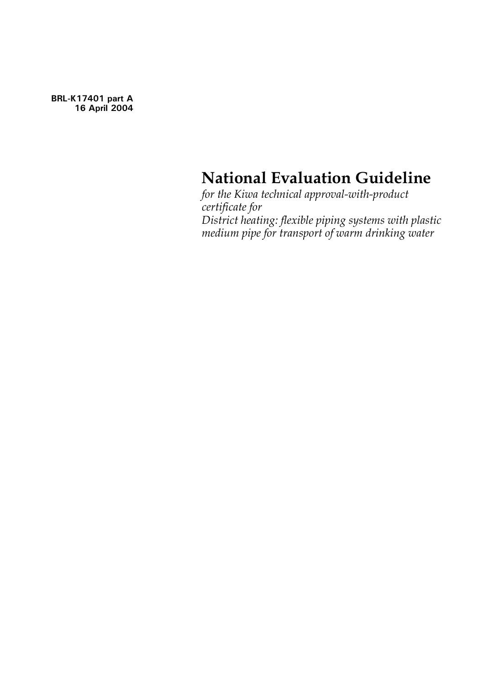**BRL-K17401 part A 16 April 2004**

# **National Evaluation Guideline**

*for the Kiwa technical approval-with-product certificate for District heating: flexible piping systems with plastic medium pipe for transport of warm drinking water*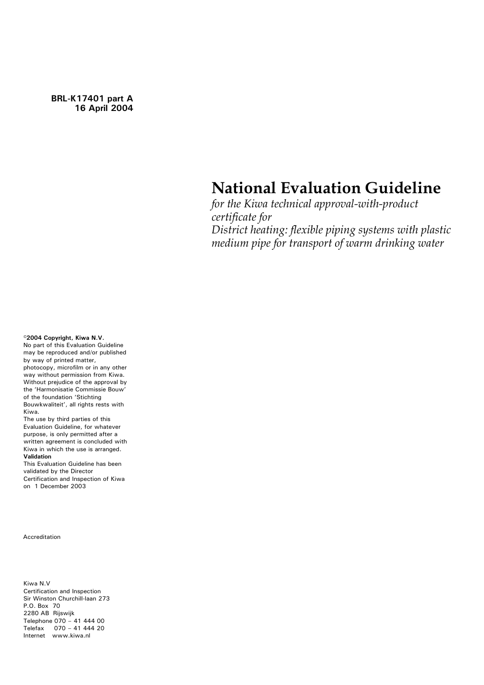**BRL-K17401 part A 16 April 2004**

# **National Evaluation Guideline**

*for the Kiwa technical approval-with-product certificate for District heating: flexible piping systems with plastic medium pipe for transport of warm drinking water*

**©2004 Copyright, Kiwa N.V.**

No part of this Evaluation Guideline may be reproduced and/or published by way of printed matter, photocopy, microfilm or in any other way without permission from Kiwa. Without prejudice of the approval by the 'Harmonisatie Commissie Bouw' of the foundation 'Stichting Bouwkwaliteit', all rights rests with Kiwa.

The use by third parties of this Evaluation Guideline, for whatever purpose, is only permitted after a written agreement is concluded with Kiwa in which the use is arranged. **Validation** 

This Evaluation Guideline has been validated by the Director Certification and Inspection of Kiwa on 1 December 2003

Accreditation

Kiwa N.V Certification and Inspection Sir Winston Churchill-laan 273 P.O. Box 70 2280 AB Rijswijk Telephone 070 – 41 444 00 Telefax 070 – 41 444 20 Internet www.kiwa.nl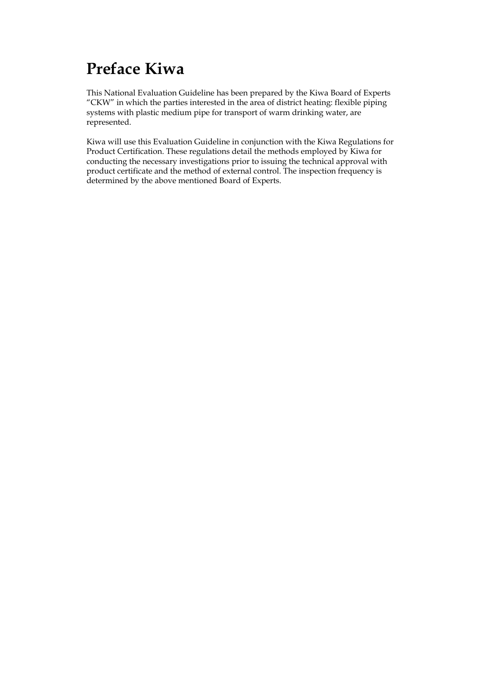# **Preface Kiwa**

This National Evaluation Guideline has been prepared by the Kiwa Board of Experts "CKW" in which the parties interested in the area of district heating: flexible piping systems with plastic medium pipe for transport of warm drinking water, are represented.

Kiwa will use this Evaluation Guideline in conjunction with the Kiwa Regulations for Product Certification. These regulations detail the methods employed by Kiwa for conducting the necessary investigations prior to issuing the technical approval with product certificate and the method of external control. The inspection frequency is determined by the above mentioned Board of Experts.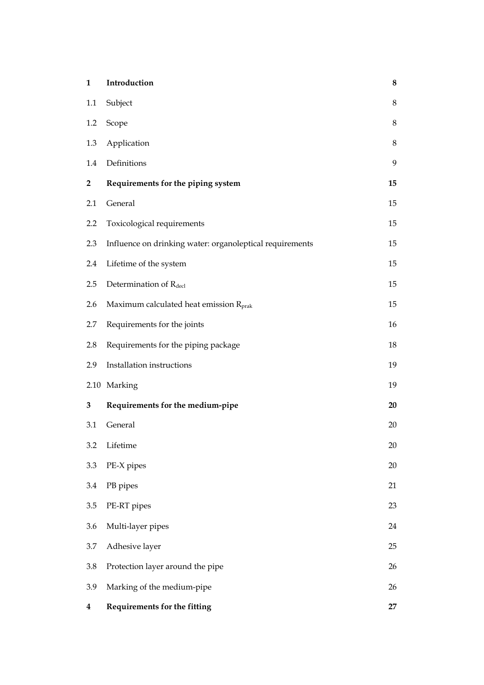| $\mathbf{1}$ | Introduction                                             | 8           |
|--------------|----------------------------------------------------------|-------------|
| 1.1          | Subject                                                  | $\,$ 8 $\,$ |
| 1.2          | Scope                                                    | $\,$ 8 $\,$ |
| 1.3          | Application                                              | 8           |
| 1.4          | Definitions                                              | 9           |
| 2            | Requirements for the piping system                       | 15          |
| 2.1          | General                                                  | 15          |
| 2.2          | Toxicological requirements                               | 15          |
| 2.3          | Influence on drinking water: organoleptical requirements | 15          |
| 2.4          | Lifetime of the system                                   | 15          |
| 2.5          | Determination of Rdecl                                   | 15          |
| 2.6          | Maximum calculated heat emission R <sub>prak</sub>       | 15          |
| 2.7          | Requirements for the joints                              | 16          |
| 2.8          | Requirements for the piping package                      | 18          |
| 2.9          | Installation instructions                                | 19          |
|              | 2.10 Marking                                             | 19          |
| 3            | Requirements for the medium-pipe                         | 20          |
| 3.1          | General                                                  | 20          |
| 3.2          | Lifetime                                                 | 20          |
| 3.3          | PE-X pipes                                               | 20          |
| 3.4          | PB pipes                                                 | 21          |
| 3.5          | PE-RT pipes                                              | 23          |
| 3.6          | Multi-layer pipes                                        | 24          |
| 3.7          | Adhesive layer                                           | 25          |
| 3.8          | Protection layer around the pipe                         | 26          |
| 3.9          | Marking of the medium-pipe                               | 26          |
| 4            | Requirements for the fitting                             | 27          |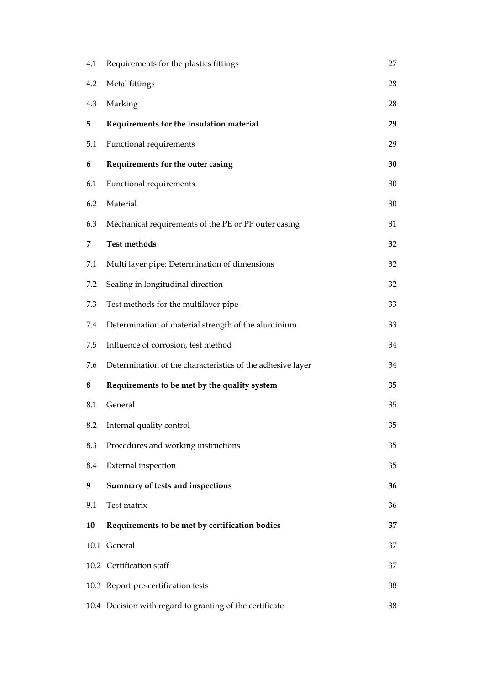| 4.1 | Requirements for the plastics fittings                     | 27 |
|-----|------------------------------------------------------------|----|
| 4.2 | Metal fittings                                             | 28 |
| 4.3 | Marking                                                    | 28 |
| 5   | Requirements for the insulation material                   | 29 |
| 5.1 | Functional requirements                                    | 29 |
| 6   | Requirements for the outer casing                          | 30 |
| 6.1 | Functional requirements                                    | 30 |
| 6.2 | Material                                                   | 30 |
| 6.3 | Mechanical requirements of the PE or PP outer casing       | 31 |
| 7   | <b>Test methods</b>                                        | 32 |
| 7.1 | Multi layer pipe: Determination of dimensions              | 32 |
| 7.2 | Sealing in longitudinal direction                          | 32 |
| 7.3 | Test methods for the multilayer pipe                       | 33 |
| 7.4 | Determination of material strength of the aluminium        | 33 |
| 7.5 | Influence of corrosion, test method                        | 34 |
| 7.6 | Determination of the characteristics of the adhesive layer | 34 |
| 8   | Requirements to be met by the quality system               | 35 |
| 8.1 | General                                                    | 35 |
| 8.2 | Internal quality control                                   | 35 |
| 8.3 | Procedures and working instructions                        | 35 |
| 8.4 | <b>External</b> inspection                                 | 35 |
| 9   | Summary of tests and inspections                           | 36 |
| 9.1 | Test matrix                                                | 36 |
| 10  | Requirements to be met by certification bodies             | 37 |
|     | 10.1 General                                               | 37 |
|     | 10.2 Certification staff                                   | 37 |
|     | 10.3 Report pre-certification tests                        | 38 |
|     | 10.4 Decision with regard to granting of the certificate   | 38 |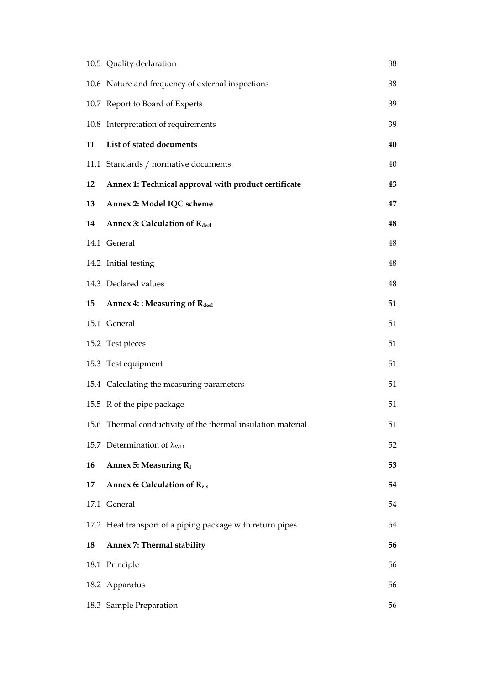|    | 10.5 Quality declaration                                     | 38 |
|----|--------------------------------------------------------------|----|
|    | 10.6 Nature and frequency of external inspections            | 38 |
|    | 10.7 Report to Board of Experts                              | 39 |
|    | 10.8 Interpretation of requirements                          | 39 |
| 11 | List of stated documents                                     | 40 |
|    | 11.1 Standards / normative documents                         | 40 |
| 12 | Annex 1: Technical approval with product certificate         | 43 |
| 13 | Annex 2: Model IQC scheme                                    | 47 |
| 14 | Annex 3: Calculation of Rdecl                                | 48 |
|    | 14.1 General                                                 | 48 |
|    | 14.2 Initial testing                                         | 48 |
|    | 14.3 Declared values                                         | 48 |
| 15 | <b>Annex 4:: Measuring of Rdecl</b>                          | 51 |
|    | 15.1 General                                                 | 51 |
|    | 15.2 Test pieces                                             | 51 |
|    | 15.3 Test equipment                                          | 51 |
|    | 15.4 Calculating the measuring parameters                    | 51 |
|    | 15.5 R of the pipe package                                   | 51 |
|    | 15.6 Thermal conductivity of the thermal insulation material | 51 |
|    | 15.7 Determination of $\lambda_{WD}$                         | 52 |
| 16 | Annex 5: Measuring R <sub>I</sub>                            | 53 |
| 17 | Annex 6: Calculation of Reis                                 | 54 |
|    | 17.1 General                                                 | 54 |
|    | 17.2 Heat transport of a piping package with return pipes    | 54 |
| 18 | Annex 7: Thermal stability                                   | 56 |
|    | 18.1 Principle                                               | 56 |
|    | 18.2 Apparatus                                               | 56 |
|    | 18.3 Sample Preparation                                      | 56 |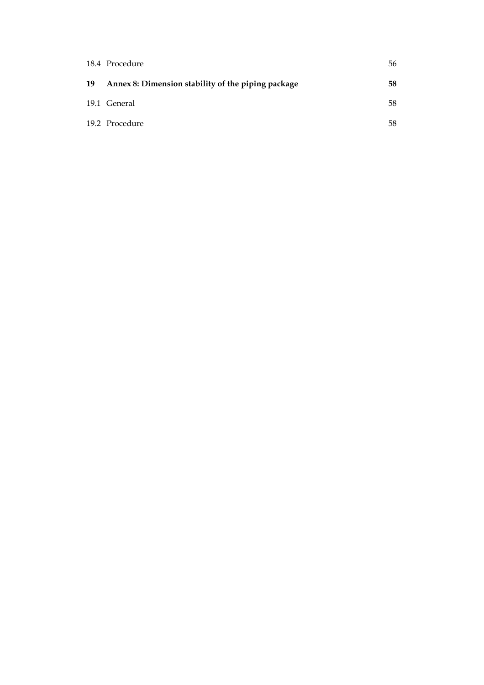|    | 18.4 Procedure                                     | 56 |
|----|----------------------------------------------------|----|
| 19 | Annex 8: Dimension stability of the piping package | 58 |
|    | 19.1 General                                       | 58 |
|    | 19.2 Procedure                                     | 58 |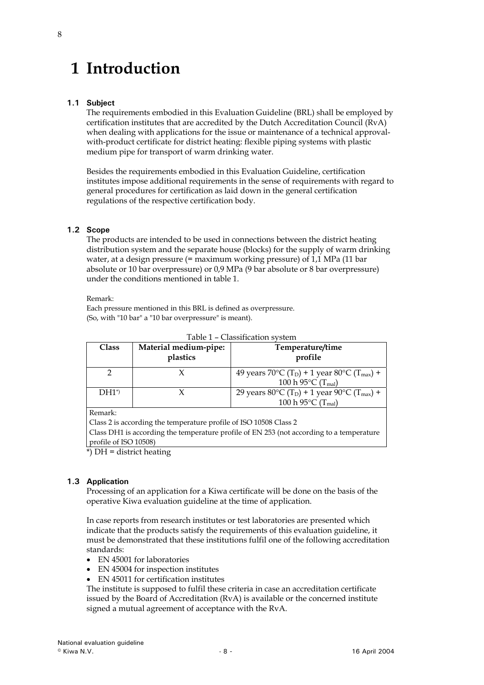# <span id="page-7-0"></span>**1 Introduction**

# **1.1 Subject**

The requirements embodied in this Evaluation Guideline (BRL) shall be employed by certification institutes that are accredited by the Dutch Accreditation Council (RvA) when dealing with applications for the issue or maintenance of a technical approvalwith-product certificate for district heating: flexible piping systems with plastic medium pipe for transport of warm drinking water.

Besides the requirements embodied in this Evaluation Guideline, certification institutes impose additional requirements in the sense of requirements with regard to general procedures for certification as laid down in the general certification regulations of the respective certification body.

# **1.2 Scope**

The products are intended to be used in connections between the district heating distribution system and the separate house (blocks) for the supply of warm drinking water, at a design pressure (= maximum working pressure) of 1,1 MPa (11 bar absolute or 10 bar overpressure) or 0,9 MPa (9 bar absolute or 8 bar overpressure) under the conditions mentioned in table 1.

### Remark:

Each pressure mentioned in this BRL is defined as overpressure. (So, with "10 bar" a "10 bar overpressure" is meant).

| <b>Class</b> | Material medium-pipe:<br>plastics | Temperature/time<br>profile                                                                                                                       |
|--------------|-----------------------------------|---------------------------------------------------------------------------------------------------------------------------------------------------|
|              |                                   | 49 years 70 °C (T <sub>D</sub> ) + 1 year 80 °C (T <sub>max</sub> ) +<br>100 h 95 $^{\circ}$ C (T <sub>mal</sub> )                                |
| $DH1^*$      |                                   | 29 years 80 $\rm{^{\circ}C}$ (T <sub>D</sub> ) + 1 year 90 $\rm{^{\circ}C}$ (T <sub>max</sub> ) +<br>100 h 95 $\rm ^{\circ}C$ (T <sub>mal</sub> ) |
| $D_{\alpha}$ |                                   |                                                                                                                                                   |

| Table 1 - Classification system |
|---------------------------------|
|                                 |

Remark:

Class 2 is according the temperature profile of ISO 10508 Class 2 Class DH1 is according the temperature profile of EN 253 (not according to a temperature

profile of ISO 10508)

\*) DH = district heating

# **1.3 Application**

Processing of an application for a Kiwa certificate will be done on the basis of the operative Kiwa evaluation guideline at the time of application.

In case reports from research institutes or test laboratories are presented which indicate that the products satisfy the requirements of this evaluation guideline, it must be demonstrated that these institutions fulfil one of the following accreditation standards:

- EN 45001 for laboratories
- EN 45004 for inspection institutes
- EN 45011 for certification institutes

The institute is supposed to fulfil these criteria in case an accreditation certificate issued by the Board of Accreditation (RvA) is available or the concerned institute signed a mutual agreement of acceptance with the RvA.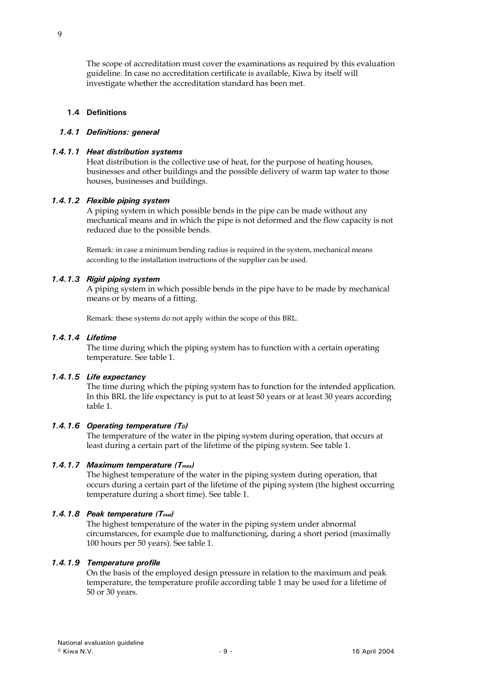<span id="page-8-0"></span>The scope of accreditation must cover the examinations as required by this evaluation guideline. In case no accreditation certificate is available, Kiwa by itself will investigate whether the accreditation standard has been met.

#### **1.4 Definitions**

### *1.4.1 Definitions: general*

### *1.4.1.1 Heat distribution systems*

Heat distribution is the collective use of heat, for the purpose of heating houses, businesses and other buildings and the possible delivery of warm tap water to those houses, businesses and buildings.

### *1.4.1.2 Flexible piping system*

A piping system in which possible bends in the pipe can be made without any mechanical means and in which the pipe is not deformed and the flow capacity is not reduced due to the possible bends.

Remark: in case a minimum bending radius is required in the system, mechanical means according to the installation instructions of the supplier can be used.

### *1.4.1.3 Rigid piping system*

A piping system in which possible bends in the pipe have to be made by mechanical means or by means of a fitting.

Remark: these systems do not apply within the scope of this BRL.

#### *1.4.1.4 Lifetime*

The time during which the piping system has to function with a certain operating temperature. See table 1.

#### *1.4.1.5 Life expectancy*

The time during which the piping system has to function for the intended application. In this BRL the life expectancy is put to at least 50 years or at least 30 years according table 1.

#### 1.4.1.6 Operating temperature (T<sub>D</sub>)

The temperature of the water in the piping system during operation, that occurs at least during a certain part of the lifetime of the piping system. See table 1.

# *1.4.1.7 Maximum temperature (Tmax)*

The highest temperature of the water in the piping system during operation, that occurs during a certain part of the lifetime of the piping system (the highest occurring temperature during a short time). See table 1.

# *1.4.1.8 Peak temperature (Tmal)*

The highest temperature of the water in the piping system under abnormal circumstances, for example due to malfunctioning, during a short period (maximally 100 hours per 50 years). See table 1.

#### *1.4.1.9 Temperature profile*

On the basis of the employed design pressure in relation to the maximum and peak temperature, the temperature profile according table 1 may be used for a lifetime of 50 or 30 years.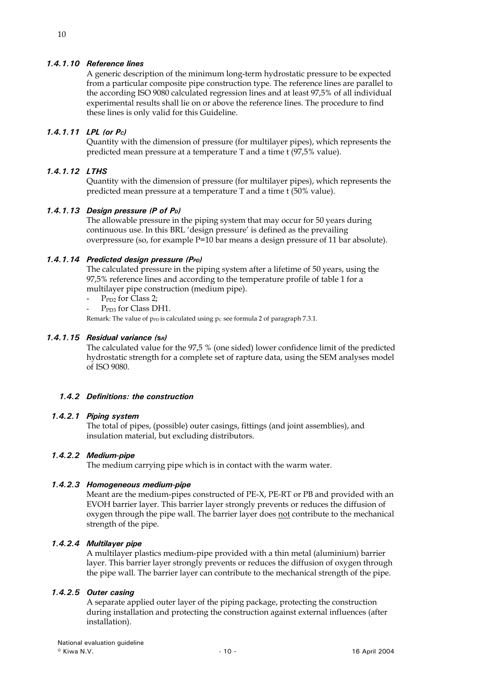# *1.4.1.10 Reference lines*

A generic description of the minimum long-term hydrostatic pressure to be expected from a particular composite pipe construction type. The reference lines are parallel to the according ISO 9080 calculated regression lines and at least 97,5% of all individual experimental results shall lie on or above the reference lines. The procedure to find these lines is only valid for this Guideline.

### *1.4.1.11 LPL (or PC)*

Quantity with the dimension of pressure (for multilayer pipes), which represents the predicted mean pressure at a temperature T and a time t (97,5% value).

# *1.4.1.12 LTHS*

Quantity with the dimension of pressure (for multilayer pipes), which represents the predicted mean pressure at a temperature T and a time t (50% value).

#### *1.4.1.13 Design pressure (P of PD)*

The allowable pressure in the piping system that may occur for 50 years during continuous use. In this BRL 'design pressure' is defined as the prevailing overpressure (so, for example P=10 bar means a design pressure of 11 bar absolute).

#### *1.4.1.14 Predicted design pressure (PPD)*

The calculated pressure in the piping system after a lifetime of 50 years, using the 97,5% reference lines and according to the temperature profile of table 1 for a multilayer pipe construction (medium pipe).

- $-$  P<sub>PD2</sub> for Class 2;
- P<sub>PD3</sub> for Class DH1.

Remark: The value of  $p_{\text{PD}}$  is calculated using  $p_{\text{C}}$  see formula 2 of paragraph 7.3.1.

#### *1.4.1.15 Residual variance (***s***R)*

The calculated value for the 97,5 % (one sided) lower confidence limit of the predicted hydrostatic strength for a complete set of rapture data, using the SEM analyses model of ISO 9080.

### *1.4.2 Definitions: the construction*

### *1.4.2.1 Piping system*

The total of pipes, (possible) outer casings, fittings (and joint assemblies), and insulation material, but excluding distributors.

#### *1.4.2.2 Medium-pipe*

The medium carrying pipe which is in contact with the warm water.

#### *1.4.2.3 Homogeneous medium-pipe*

Meant are the medium-pipes constructed of PE-X, PE-RT or PB and provided with an EVOH barrier layer. This barrier layer strongly prevents or reduces the diffusion of oxygen through the pipe wall. The barrier layer does not contribute to the mechanical strength of the pipe.

#### *1.4.2.4 Multilayer pipe*

A multilayer plastics medium-pipe provided with a thin metal (aluminium) barrier layer. This barrier layer strongly prevents or reduces the diffusion of oxygen through the pipe wall. The barrier layer can contribute to the mechanical strength of the pipe.

### *1.4.2.5 Outer casing*

A separate applied outer layer of the piping package, protecting the construction during installation and protecting the construction against external influences (after installation).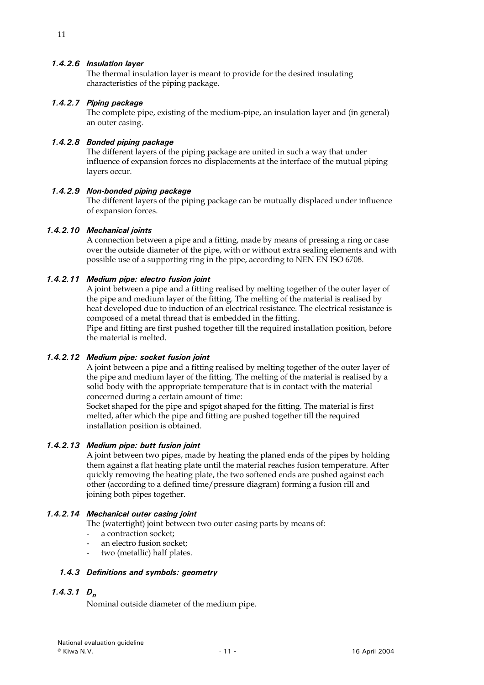# *1.4.2.6 Insulation layer*

The thermal insulation layer is meant to provide for the desired insulating characteristics of the piping package.

### *1.4.2.7 Piping package*

The complete pipe, existing of the medium-pipe, an insulation layer and (in general) an outer casing.

# *1.4.2.8 Bonded piping package*

The different layers of the piping package are united in such a way that under influence of expansion forces no displacements at the interface of the mutual piping layers occur.

### *1.4.2.9 Non-bonded piping package*

The different layers of the piping package can be mutually displaced under influence of expansion forces.

#### *1.4.2.10 Mechanical joints*

A connection between a pipe and a fitting, made by means of pressing a ring or case over the outside diameter of the pipe, with or without extra sealing elements and with possible use of a supporting ring in the pipe, according to NEN EN ISO 6708.

### *1.4.2.11 Medium pipe: electro fusion joint*

A joint between a pipe and a fitting realised by melting together of the outer layer of the pipe and medium layer of the fitting. The melting of the material is realised by heat developed due to induction of an electrical resistance. The electrical resistance is composed of a metal thread that is embedded in the fitting.

Pipe and fitting are first pushed together till the required installation position, before the material is melted.

### *1.4.2.12 Medium pipe: socket fusion joint*

A joint between a pipe and a fitting realised by melting together of the outer layer of the pipe and medium layer of the fitting. The melting of the material is realised by a solid body with the appropriate temperature that is in contact with the material concerned during a certain amount of time:

Socket shaped for the pipe and spigot shaped for the fitting. The material is first melted, after which the pipe and fitting are pushed together till the required installation position is obtained.

#### *1.4.2.13 Medium pipe: butt fusion joint*

A joint between two pipes, made by heating the planed ends of the pipes by holding them against a flat heating plate until the material reaches fusion temperature. After quickly removing the heating plate, the two softened ends are pushed against each other (according to a defined time/pressure diagram) forming a fusion rill and joining both pipes together.

#### *1.4.2.14 Mechanical outer casing joint*

The (watertight) joint between two outer casing parts by means of:

- a contraction socket;
- an electro fusion socket;
- two (metallic) half plates.

#### *1.4.3 Definitions and symbols: geometry*

# *1.4.3.1 Dn*

Nominal outside diameter of the medium pipe.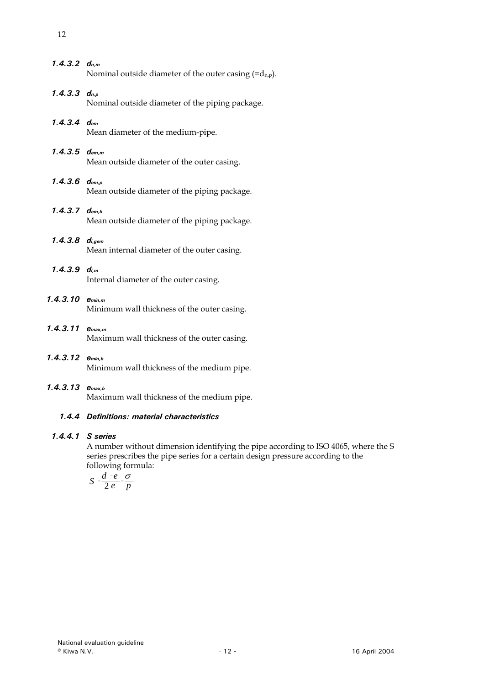- *1.4.3.3 dn,p* Nominal outside diameter of the piping package.
- *1.4.3.4 dem* Mean diameter of the medium-pipe.
- *1.4.3.5 dem,m* Mean outside diameter of the outer casing.
- *1.4.3.6 dem,p* Mean outside diameter of the piping package.
- *1.4.3.7 dem,b* Mean outside diameter of the piping package.
- *1.4.3.8 di,gem* Mean internal diameter of the outer casing.
- *1.4.3.9 di,m* Internal diameter of the outer casing.
- *1.4.3.10 emin,m* Minimum wall thickness of the outer casing.
- *1.4.3.11 emax,m* Maximum wall thickness of the outer casing.
- *1.4.3.12 emin,b* Minimum wall thickness of the medium pipe.
- *1.4.3.13 emax,b*

Maximum wall thickness of the medium pipe.

# *1.4.4 Definitions: material characteristics*

# *1.4.4.1 S series*

A number without dimension identifying the pipe according to ISO 4065, where the S series prescribes the pipe series for a certain design pressure according to the following formula:

$$
S = \frac{d - e}{2 e} = \frac{\sigma}{p}
$$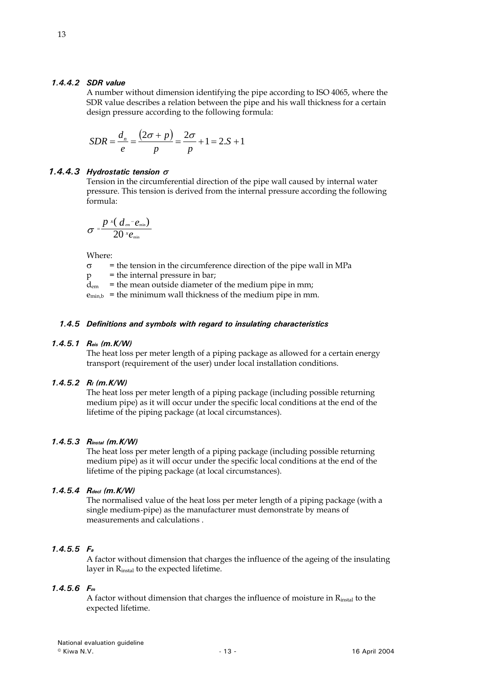#### *1.4.4.2 SDR value*

A number without dimension identifying the pipe according to ISO 4065, where the SDR value describes a relation between the pipe and his wall thickness for a certain design pressure according to the following formula:

$$
SDR = \frac{d_n}{e} = \frac{(2\sigma + p)}{p} = \frac{2\sigma}{p} + 1 = 2.S + 1
$$

### *1.4.4.3 Hydrostatic tension* <sup>σ</sup>

Tension in the circumferential direction of the pipe wall caused by internal water pressure. This tension is derived from the internal pressure according the following formula:

$$
\sigma = \frac{p \times (d_{em} - e_{\min})}{20 \times e_{\min}}
$$

Where:

 $\sigma$  = the tension in the circumference direction of the pipe wall in MPa

 $p =$  the internal pressure in bar;

 $\overline{d}_{em}$  = the mean outside diameter of the medium pipe in mm;

 $e_{min,b}$  = the minimum wall thickness of the medium pipe in mm.

### *1.4.5 Definitions and symbols with regard to insulating characteristics*

#### *1.4.5.1 Reis (m.K/W)*

The heat loss per meter length of a piping package as allowed for a certain energy transport (requirement of the user) under local installation conditions.

# *1.4.5.2 RI (m.K/W)*

The heat loss per meter length of a piping package (including possible returning medium pipe) as it will occur under the specific local conditions at the end of the lifetime of the piping package (at local circumstances).

# *1.4.5.3 Rinstal (m.K/W)*

The heat loss per meter length of a piping package (including possible returning medium pipe) as it will occur under the specific local conditions at the end of the lifetime of the piping package (at local circumstances).

# *1.4.5.4 Rdecl (m.K/W)*

The normalised value of the heat loss per meter length of a piping package (with a single medium-pipe) as the manufacturer must demonstrate by means of measurements and calculations .

# *1.4.5.5 Fa*

A factor without dimension that charges the influence of the ageing of the insulating layer in Rinstal to the expected lifetime.

# *1.4.5.6 Fm*

A factor without dimension that charges the influence of moisture in  $R_{instal}$  to the expected lifetime.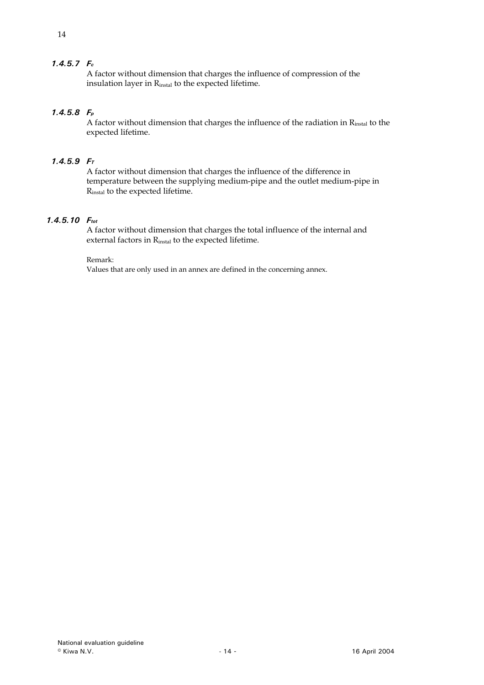# *1.4.5.7 Fc*

A factor without dimension that charges the influence of compression of the insulation layer in Rinstal to the expected lifetime.

# *1.4.5.8 Fp*

A factor without dimension that charges the influence of the radiation in Rinstal to the expected lifetime.

# *1.4.5.9 FT*

A factor without dimension that charges the influence of the difference in temperature between the supplying medium-pipe and the outlet medium-pipe in Rinstal to the expected lifetime.

# *1.4.5.10 Ftot*

A factor without dimension that charges the total influence of the internal and external factors in Rinstal to the expected lifetime.

Remark:

Values that are only used in an annex are defined in the concerning annex.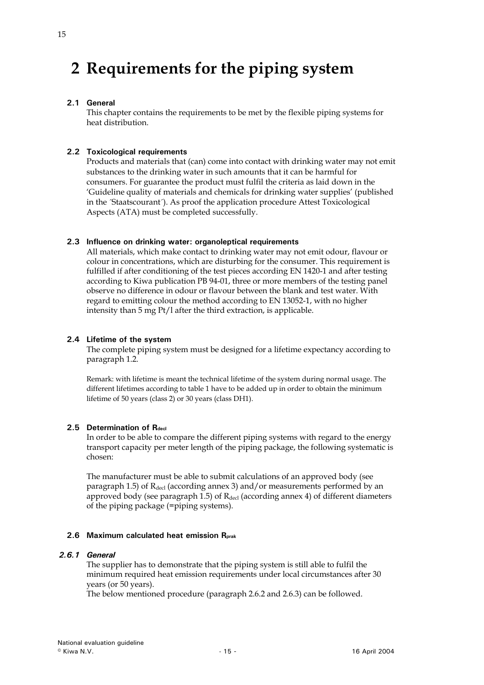# <span id="page-14-0"></span>**2 Requirements for the piping system**

# **2.1 General**

This chapter contains the requirements to be met by the flexible piping systems for heat distribution.

# **2.2 Toxicological requirements**

Products and materials that (can) come into contact with drinking water may not emit substances to the drinking water in such amounts that it can be harmful for consumers. For guarantee the product must fulfil the criteria as laid down in the 'Guideline quality of materials and chemicals for drinking water supplies' (published in the ´Staatscourant´). As proof the application procedure Attest Toxicological Aspects (ATA) must be completed successfully.

### **2.3 Influence on drinking water: organoleptical requirements**

All materials, which make contact to drinking water may not emit odour, flavour or colour in concentrations, which are disturbing for the consumer. This requirement is fulfilled if after conditioning of the test pieces according EN 1420-1 and after testing according to Kiwa publication PB 94-01, three or more members of the testing panel observe no difference in odour or flavour between the blank and test water. With regard to emitting colour the method according to EN 13052-1, with no higher intensity than 5 mg Pt/l after the third extraction, is applicable.

# **2.4 Lifetime of the system**

The complete piping system must be designed for a lifetime expectancy according to paragraph 1.2.

Remark: with lifetime is meant the technical lifetime of the system during normal usage. The different lifetimes according to table 1 have to be added up in order to obtain the minimum lifetime of 50 years (class 2) or 30 years (class DH1).

# 2.5 **Determination of Rdecl**

In order to be able to compare the different piping systems with regard to the energy transport capacity per meter length of the piping package, the following systematic is chosen:

The manufacturer must be able to submit calculations of an approved body (see paragraph 1.5) of  $R_{\text{decl}}$  (according annex 3) and/or measurements performed by an approved body (see paragraph 1.5) of  $R_{\text{decl}}$  (according annex 4) of different diameters of the piping package (=piping systems).

#### **2.6 Maximum calculated heat emission Rprak**

#### *2.6.1 General*

The supplier has to demonstrate that the piping system is still able to fulfil the minimum required heat emission requirements under local circumstances after 30 years (or 50 years).

The below mentioned procedure (paragraph 2.6.2 and 2.6.3) can be followed.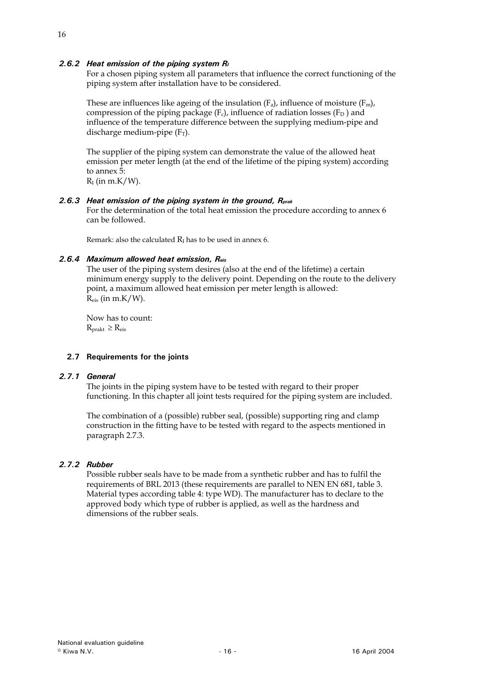# <span id="page-15-0"></span>*2.6.2 Heat emission of the piping system RI*

For a chosen piping system all parameters that influence the correct functioning of the piping system after installation have to be considered.

These are influences like ageing of the insulation  $(F_a)$ , influence of moisture  $(F_m)$ , compression of the piping package  $(F_c)$ , influence of radiation losses  $(F_D)$  and influence of the temperature difference between the supplying medium-pipe and discharge medium-pipe  $(F_T)$ .

The supplier of the piping system can demonstrate the value of the allowed heat emission per meter length (at the end of the lifetime of the piping system) according to annex 5:

 $R<sub>I</sub>$  (in m.K/W).

### *2.6.3 Heat emission of the piping system in the ground, Rprak*

For the determination of the total heat emission the procedure according to annex 6 can be followed.

Remark: also the calculated  $R<sub>I</sub>$  has to be used in annex 6.

#### *2.6.4 Maximum allowed heat emission, Reis*

The user of the piping system desires (also at the end of the lifetime) a certain minimum energy supply to the delivery point. Depending on the route to the delivery point, a maximum allowed heat emission per meter length is allowed:  $R_{\text{eis}}$  (in m.K/W).

Now has to count:  $R_{\text{prakt}} \geq R_{\text{eis}}$ 

#### **2.7 Requirements for the joints**

#### *2.7.1 General*

The joints in the piping system have to be tested with regard to their proper functioning. In this chapter all joint tests required for the piping system are included.

The combination of a (possible) rubber seal, (possible) supporting ring and clamp construction in the fitting have to be tested with regard to the aspects mentioned in paragraph 2.7.3.

#### *2.7.2 Rubber*

Possible rubber seals have to be made from a synthetic rubber and has to fulfil the requirements of BRL 2013 (these requirements are parallel to NEN EN 681, table 3. Material types according table 4: type WD). The manufacturer has to declare to the approved body which type of rubber is applied, as well as the hardness and dimensions of the rubber seals.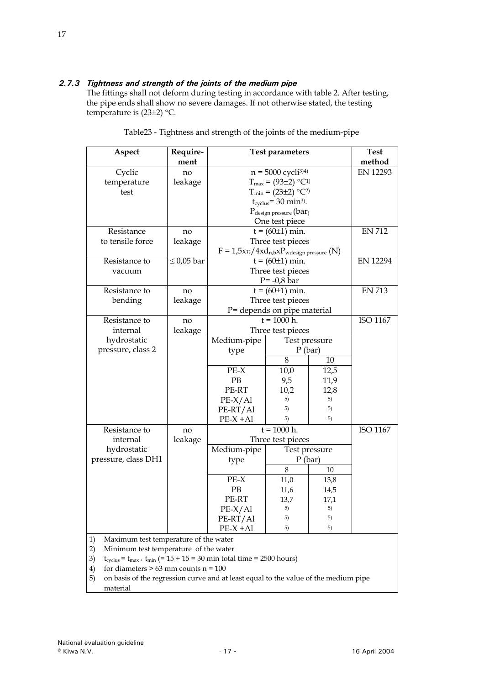# *2.7.3 Tightness and strength of the joints of the medium pipe*

The fittings shall not deform during testing in accordance with table 2. After testing, the pipe ends shall show no severe damages. If not otherwise stated, the testing temperature is (23±2) °C.

| Aspect                           | Require-<br>ment | <b>Test parameters</b>                                     | <b>Test</b><br>method                           |               |                 |  |
|----------------------------------|------------------|------------------------------------------------------------|-------------------------------------------------|---------------|-----------------|--|
| Cyclic                           | no               |                                                            | $n = 5000$ cycli <sup>3)4)</sup>                |               | <b>EN 12293</b> |  |
| temperature                      | leakage          |                                                            | $T_{\text{max}} = (93 \pm 2)$ °C <sup>1</sup> ) |               |                 |  |
| test                             |                  |                                                            | $T_{min} = (23 \pm 2)$ °C <sup>2</sup> )        |               |                 |  |
|                                  |                  |                                                            | $t_{\text{cvelus}}$ = 30 min <sup>3</sup> ).    |               |                 |  |
|                                  |                  |                                                            | $P_{\text{design pressure}}$ (bar)              |               |                 |  |
|                                  |                  | One test piece                                             |                                                 | <b>EN 712</b> |                 |  |
| Resistance                       | no               |                                                            | $t = (60±1)$ min.                               |               |                 |  |
| to tensile force                 | leakage          |                                                            | Three test pieces                               |               |                 |  |
|                                  |                  | $F = 1.5x\pi/4xd$ n,b $xP$ <sub>wdesign pressure</sub> (N) |                                                 |               |                 |  |
| Resistance to                    | $\leq 0.05$ bar  |                                                            | $t = (60±1)$ min.                               |               | <b>EN 12294</b> |  |
| vacuum                           |                  |                                                            | Three test pieces                               |               |                 |  |
|                                  |                  |                                                            | $P = -0.8$ bar                                  |               |                 |  |
| Resistance to                    | no               |                                                            | $t = (60±1)$ min.                               |               | <b>EN 713</b>   |  |
| bending                          | leakage          | Three test pieces                                          |                                                 |               |                 |  |
|                                  |                  | P= depends on pipe material                                |                                                 |               |                 |  |
| Resistance to                    | no               | $t = 1000 h$ .                                             |                                                 |               | ISO 1167        |  |
| internal                         | leakage          | Three test pieces                                          |                                                 |               |                 |  |
| hydrostatic                      |                  | Medium-pipe                                                | Test pressure                                   |               |                 |  |
| pressure, class 2                |                  | type                                                       | $P$ (bar)                                       |               |                 |  |
|                                  |                  |                                                            | 8                                               | 10            |                 |  |
|                                  |                  | $PE-X$                                                     | 10,0                                            | 12,5          |                 |  |
|                                  |                  | PB                                                         | 9,5                                             | 11,9          |                 |  |
|                                  |                  | PE-RT                                                      | 10,2                                            | 12,8          |                 |  |
|                                  |                  | $PE-X/Al$                                                  | 5)                                              | 5)            |                 |  |
|                                  |                  | PE-RT/Al                                                   | 5)                                              | 5)            |                 |  |
|                                  |                  | $PE-X + AI$                                                | 5)                                              | 5)            |                 |  |
| Resistance to                    | no               |                                                            | $t = 1000 h$ .                                  |               | ISO 1167        |  |
| internal                         | leakage          | Three test pieces                                          |                                                 |               |                 |  |
| hydrostatic                      |                  | Medium-pipe                                                | Test pressure                                   |               |                 |  |
| pressure, class DH1              |                  | $P$ (bar)<br>type                                          |                                                 |               |                 |  |
|                                  |                  | 8<br>10                                                    |                                                 |               |                 |  |
|                                  |                  | $PE-X$<br>11,0<br>13,8                                     |                                                 |               |                 |  |
|                                  |                  | PB<br>11,6<br>14,5                                         |                                                 |               |                 |  |
|                                  |                  |                                                            | PE-RT<br>13,7<br>17,1                           |               |                 |  |
|                                  |                  | $PE-X/Al$                                                  | 5)                                              | 5)            |                 |  |
|                                  |                  | PE-RT/Al                                                   | 5)                                              | 5)            |                 |  |
| 1)<br>Morrimsum took tommonotuum |                  | $PE-X + AI$<br>$f$ the visitor                             | 5)                                              | 5)            |                 |  |

Table23 - Tightness and strength of the joints of the medium-pipe

1) Maximum test temperature of the water

2) Minimum test temperature of the water

3)  $t_{\text{cvelus}} = t_{\text{max}} + t_{\text{min}}$  (= 15 + 15 = 30 min total time = 2500 hours)

4) for diameters  $> 63$  mm counts n = 100

5) on basis of the regression curve and at least equal to the value of the medium pipe material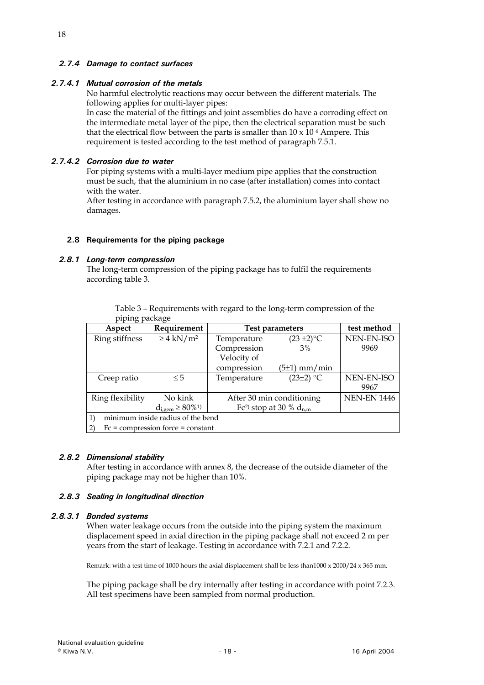# <span id="page-17-0"></span>*2.7.4 Damage to contact surfaces*

# *2.7.4.1 Mutual corrosion of the metals*

No harmful electrolytic reactions may occur between the different materials. The following applies for multi-layer pipes:

In case the material of the fittings and joint assemblies do have a corroding effect on the intermediate metal layer of the pipe, then the electrical separation must be such that the electrical flow between the parts is smaller than  $10 \times 10^{-6}$  Ampere. This requirement is tested according to the test method of paragraph 7.5.1.

### *2.7.4.2 Corrosion due to water*

For piping systems with a multi-layer medium pipe applies that the construction must be such, that the aluminium in no case (after installation) comes into contact with the water.

After testing in accordance with paragraph 7.5.2, the aluminium layer shall show no damages.

### **2.8 Requirements for the piping package**

#### *2.8.1 Long-term compression*

The long-term compression of the piping package has to fulfil the requirements according table 3.

Table 3 – Requirements with regard to the long-term compression of the piping package

| Aspect                                                                              | Requirement                         |                           | <b>Test parameters</b>                  |                    |  |  |
|-------------------------------------------------------------------------------------|-------------------------------------|---------------------------|-----------------------------------------|--------------------|--|--|
| Ring stiffness                                                                      | $\geq 4$ kN/m <sup>2</sup>          | Temperature               | $(23 \pm 2)$ °C                         |                    |  |  |
|                                                                                     |                                     | Compression               | 3%                                      | 9969               |  |  |
|                                                                                     |                                     | Velocity of               |                                         |                    |  |  |
|                                                                                     |                                     | compression               | $(5±1)$ mm/min                          |                    |  |  |
| Creep ratio                                                                         | $\leq 5$                            | Temperature               | $(23\pm2)$ °C                           | NEN-EN-ISO         |  |  |
|                                                                                     |                                     |                           |                                         | 9967               |  |  |
| Ring flexibility                                                                    | No kink                             | After 30 min conditioning |                                         | <b>NEN-EN 1446</b> |  |  |
|                                                                                     | $d_{i,gem} \ge 80\%^{1}$            |                           | Fc <sup>2)</sup> stop at 30 % $d_{n,m}$ |                    |  |  |
| minimum inside radius of the bend<br>$\left( \begin{matrix} 1 \end{matrix} \right)$ |                                     |                           |                                         |                    |  |  |
|                                                                                     | $Fc = compression force = constant$ |                           |                                         |                    |  |  |

#### *2.8.2 Dimensional stability*

After testing in accordance with annex 8, the decrease of the outside diameter of the piping package may not be higher than 10%.

#### *2.8.3 Sealing in longitudinal direction*

#### *2.8.3.1 Bonded systems*

When water leakage occurs from the outside into the piping system the maximum displacement speed in axial direction in the piping package shall not exceed 2 m per years from the start of leakage. Testing in accordance with 7.2.1 and 7.2.2.

Remark: with a test time of 1000 hours the axial displacement shall be less than1000 x 2000/24 x 365 mm.

The piping package shall be dry internally after testing in accordance with point 7.2.3. All test specimens have been sampled from normal production.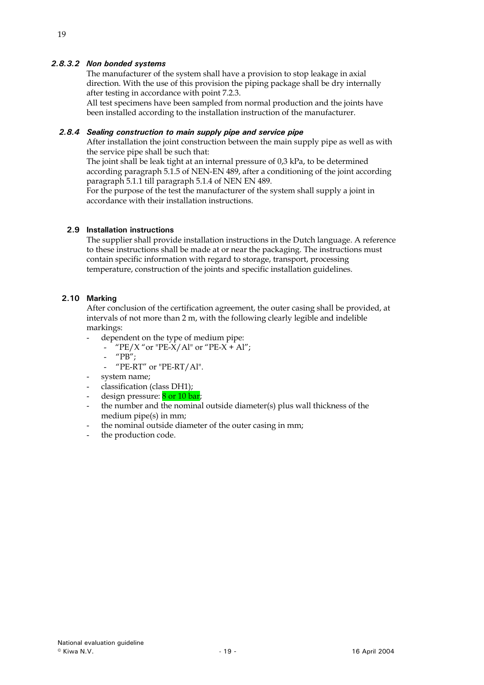# <span id="page-18-0"></span>*2.8.3.2 Non bonded systems*

The manufacturer of the system shall have a provision to stop leakage in axial direction. With the use of this provision the piping package shall be dry internally after testing in accordance with point 7.2.3.

All test specimens have been sampled from normal production and the joints have been installed according to the installation instruction of the manufacturer.

#### *2.8.4 Sealing construction to main supply pipe and service pipe*

After installation the joint construction between the main supply pipe as well as with the service pipe shall be such that:

The joint shall be leak tight at an internal pressure of 0,3 kPa, to be determined according paragraph 5.1.5 of NEN-EN 489, after a conditioning of the joint according paragraph 5.1.1 till paragraph 5.1.4 of NEN EN 489.

For the purpose of the test the manufacturer of the system shall supply a joint in accordance with their installation instructions.

#### **2.9 Installation instructions**

The supplier shall provide installation instructions in the Dutch language. A reference to these instructions shall be made at or near the packaging. The instructions must contain specific information with regard to storage, transport, processing temperature, construction of the joints and specific installation guidelines.

# **2.10 Marking**

After conclusion of the certification agreement, the outer casing shall be provided, at intervals of not more than 2 m, with the following clearly legible and indelible markings:

- dependent on the type of medium pipe:
	- $"PE/X"$  or "PE-X/Al" or "PE-X + Al";
		- "PB";
	- "PE-RT" or "PE-RT/Al".
- system name;
- classification (class DH1);
- design pressure: 8 or 10 bar;
- the number and the nominal outside diameter(s) plus wall thickness of the medium pipe(s) in mm;
- the nominal outside diameter of the outer casing in mm;
- the production code.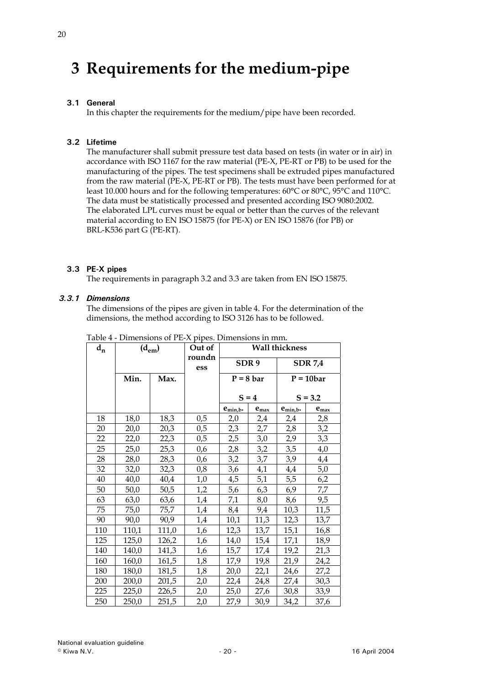# <span id="page-19-0"></span>**3 Requirements for the medium-pipe**

# **3.1 General**

In this chapter the requirements for the medium/pipe have been recorded.

# **3.2 Lifetime**

The manufacturer shall submit pressure test data based on tests (in water or in air) in accordance with ISO 1167 for the raw material (PE-X, PE-RT or PB) to be used for the manufacturing of the pipes. The test specimens shall be extruded pipes manufactured from the raw material (PE-X, PE-RT or PB). The tests must have been performed for at least 10.000 hours and for the following temperatures: 60°C or 80°C, 95°C and 110°C. The data must be statistically processed and presented according ISO 9080:2002. The elaborated LPL curves must be equal or better than the curves of the relevant material according to EN ISO 15875 (for PE-X) or EN ISO 15876 (for PB) or BRL-K536 part G (PE-RT).

# **3.3 PE-X pipes**

The requirements in paragraph 3.2 and 3.3 are taken from EN ISO 15875.

# *3.3.1 Dimensions*

The dimensions of the pipes are given in table 4. For the determination of the dimensions, the method according to ISO 3126 has to be followed.

| $d_{n}$ | $(d_{em})$ |       | Out of        | <b>Wall thickness</b> |           |                      |           |
|---------|------------|-------|---------------|-----------------------|-----------|----------------------|-----------|
|         |            |       | roundn<br>ess | SDR <sub>9</sub>      |           | <b>SDR 7,4</b>       |           |
|         | Min.       | Max.  |               | $P = 8 bar$           |           | $P = 10bar$          |           |
|         |            |       |               |                       | $S = 4$   |                      | $S = 3.2$ |
|         |            |       |               | e <sub>min,b</sub> .  | $e_{max}$ | e <sub>min,b</sub> . | $e_{max}$ |
| 18      | 18,0       | 18,3  | 0,5           | 2,0                   | 2,4       | 2,4                  | 2,8       |
| 20      | 20,0       | 20,3  | 0,5           | 2,3                   | 2,7       | 2,8                  | 3,2       |
| 22      | 22,0       | 22,3  | 0,5           | 2,5                   | 3,0       | 2,9                  | 3,3       |
| 25      | 25,0       | 25,3  | 0,6           | 2,8                   | 3,2       | 3,5                  | 4,0       |
| 28      | 28,0       | 28,3  | 0,6           | 3,2                   | 3,7       | 3,9                  | 4,4       |
| 32      | 32,0       | 32,3  | 0,8           | 3,6                   | 4,1       | 4,4                  | 5,0       |
| 40      | 40,0       | 40,4  | 1,0           | 4,5                   | 5,1       | 5,5                  | 6,2       |
| 50      | 50,0       | 50,5  | 1,2           | 5,6                   | 6,3       | 6,9                  | 7,7       |
| 63      | 63,0       | 63,6  | 1,4           | 7,1                   | 8,0       | 8,6                  | 9,5       |
| 75      | 75,0       | 75,7  | 1,4           | 8,4                   | 9,4       | 10,3                 | 11,5      |
| 90      | 90,0       | 90,9  | 1,4           | 10,1                  | 11,3      | 12,3                 | 13,7      |
| 110     | 110,1      | 111,0 | 1,6           | 12,3                  | 13,7      | 15,1                 | 16,8      |
| 125     | 125,0      | 126,2 | 1,6           | 14,0                  | 15,4      | 17,1                 | 18,9      |
| 140     | 140,0      | 141,3 | 1,6           | 15,7                  | 17,4      | 19,2                 | 21,3      |
| 160     | 160,0      | 161,5 | 1,8           | 17,9                  | 19,8      | 21,9                 | 24,2      |
| 180     | 180,0      | 181,5 | 1,8           | 20,0                  | 22,1      | 24,6                 | 27,2      |
| 200     | 200,0      | 201,5 | 2,0           | 22,4                  | 24,8      | 27,4                 | 30,3      |
| 225     | 225,0      | 226,5 | 2,0           | 25,0                  | 27,6      | 30,8                 | 33,9      |
| 250     | 250,0      | 251,5 | 2,0           | 27,9                  | 30,9      | 34,2                 | 37,6      |

Table 4 - Dimensions of PE-X pipes. Dimensions in mm*.*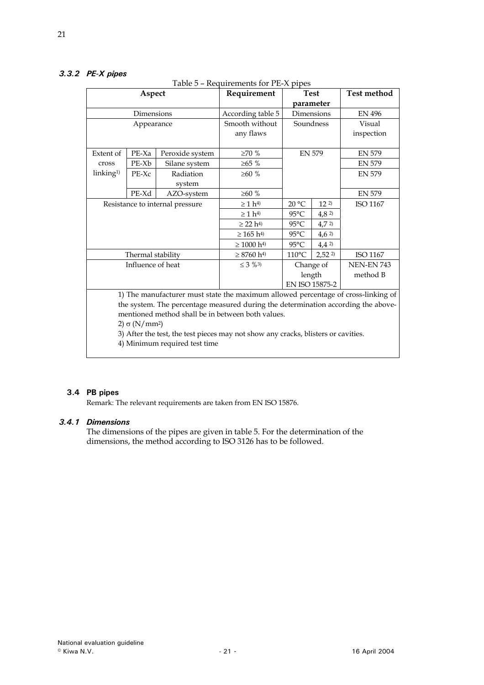# <span id="page-20-0"></span>*3.3.2 PE-X pipes*

|                                                                                   | Aspect            |                               | requirements for the <i>repes</i><br>Requirement                                  | <b>Test</b>     |                      | <b>Test method</b> |  |  |
|-----------------------------------------------------------------------------------|-------------------|-------------------------------|-----------------------------------------------------------------------------------|-----------------|----------------------|--------------------|--|--|
|                                                                                   |                   |                               |                                                                                   |                 | parameter            |                    |  |  |
|                                                                                   | Dimensions        |                               | According table 5                                                                 | Dimensions      |                      | <b>EN 496</b>      |  |  |
|                                                                                   | Appearance        |                               | Smooth without                                                                    | Soundness       |                      | Visual             |  |  |
|                                                                                   |                   |                               | any flaws                                                                         |                 |                      | inspection         |  |  |
|                                                                                   |                   |                               |                                                                                   |                 |                      |                    |  |  |
| Extent of                                                                         | $PE-Xa$           | Peroxide system               | ${\geq}70$ %                                                                      | <b>EN 579</b>   |                      | <b>EN 579</b>      |  |  |
| cross                                                                             | PE-Xb             | Silane system                 | $\geq 65 \%$                                                                      |                 |                      | <b>EN 579</b>      |  |  |
| linking <sup>1)</sup>                                                             | PE-Xc             | Radiation                     | $\geq 60$ %                                                                       |                 |                      | <b>EN 579</b>      |  |  |
|                                                                                   |                   | system                        |                                                                                   |                 |                      |                    |  |  |
|                                                                                   | PE-Xd             | AZO-system                    | $\geq 60$ %                                                                       |                 |                      | <b>EN 579</b>      |  |  |
| Resistance to internal pressure                                                   |                   |                               | $\geq 1$ h <sup>4</sup> )                                                         | 20 °C           | 12 <sup>2</sup>      | ISO 1167           |  |  |
|                                                                                   |                   |                               | $\geq 1$ h <sup>4</sup> )                                                         | $95^{\circ}$ C  | 4,82                 |                    |  |  |
|                                                                                   |                   |                               | $\geq$ 22 h <sup>4</sup> )                                                        | $95^{\circ}$ C  | 4,72                 |                    |  |  |
|                                                                                   |                   |                               | $\geq 165$ h <sup>4)</sup>                                                        | $95^{\circ}$ C  | 4,62                 |                    |  |  |
|                                                                                   |                   |                               | $\geq 1000 h^{4}$                                                                 | $95^{\circ}$ C  | 4,42                 |                    |  |  |
|                                                                                   | Thermal stability |                               | $\geq$ 8760 h <sup>4)</sup>                                                       | $110^{\circ}$ C | $2,52$ <sup>2)</sup> | ISO 1167           |  |  |
|                                                                                   | Influence of heat |                               | $\leq 3$ %3)                                                                      | Change of       |                      | <b>NEN-EN 743</b>  |  |  |
|                                                                                   |                   |                               |                                                                                   |                 | length               | method B           |  |  |
|                                                                                   |                   |                               |                                                                                   | EN ISO 15875-2  |                      |                    |  |  |
|                                                                                   |                   |                               | 1) The manufacturer must state the maximum allowed percentage of cross-linking of |                 |                      |                    |  |  |
| the system. The percentage measured during the determination according the above- |                   |                               |                                                                                   |                 |                      |                    |  |  |
| mentioned method shall be in between both values.                                 |                   |                               |                                                                                   |                 |                      |                    |  |  |
| 2) $\sigma$ (N/mm <sup>2</sup> )                                                  |                   |                               |                                                                                   |                 |                      |                    |  |  |
| 3) After the test, the test pieces may not show any cracks, blisters or cavities. |                   |                               |                                                                                   |                 |                      |                    |  |  |
|                                                                                   |                   | 4) Minimum required test time |                                                                                   |                 |                      |                    |  |  |
|                                                                                   |                   |                               |                                                                                   |                 |                      |                    |  |  |

### Table 5 – Requirements for PE-X pipes

### **3.4 PB pipes**

Remark: The relevant requirements are taken from EN ISO 15876.

# *3.4.1 Dimensions*

The dimensions of the pipes are given in table 5. For the determination of the dimensions, the method according to ISO 3126 has to be followed.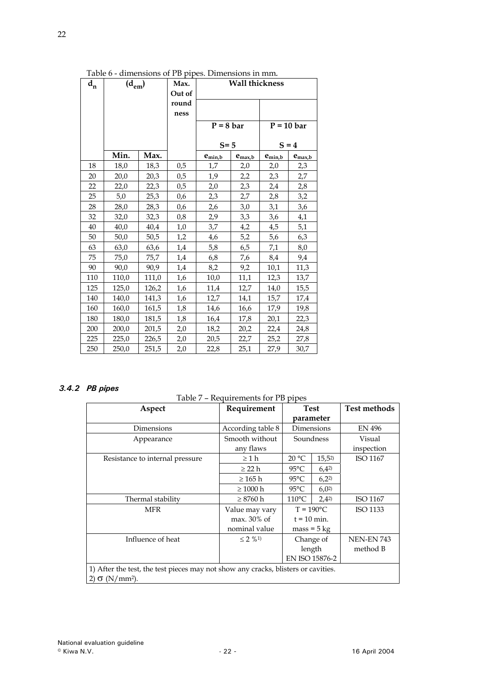| $\mathbf{d}_{\mathbf{n}}$ | гарк о - аннензють от гр рірся. Бінісняють ні пип.<br>$(d_{em})$ |       | Max.<br>Out of |              | <b>Wall thickness</b> |              |             |
|---------------------------|------------------------------------------------------------------|-------|----------------|--------------|-----------------------|--------------|-------------|
|                           |                                                                  |       | round<br>ness  |              |                       |              |             |
|                           |                                                                  |       |                | $P = 8$ bar  |                       | $P = 10$ bar |             |
|                           |                                                                  |       |                | $S = 5$      |                       |              | $S = 4$     |
|                           | Min.                                                             | Max.  |                | $e_{\min,b}$ | $e_{\text{max},b}$    | $e_{min,b}$  | $e_{max,b}$ |
| 18                        | 18,0                                                             | 18,3  | 0,5            | 1,7          | 2,0                   | 2,0          | 2,3         |
| 20                        | 20,0                                                             | 20,3  | 0,5            | 1,9          | 2,2                   | 2,3          | 2,7         |
| 22                        | 22,0                                                             | 22,3  | 0,5            | 2,0          | 2,3                   | 2,4          | 2.8         |
| 25                        | 5,0                                                              | 25,3  | 0,6            | 2,3          | 2,7                   | 2,8          | 3,2         |
| 28                        | 28,0                                                             | 28,3  | 0,6            | 2,6          | 3,0                   | 3,1          | 3,6         |
| 32                        | 32,0                                                             | 32,3  | 0,8            | 2,9          | 3,3                   | 3,6          | 4,1         |
| 40                        | 40,0                                                             | 40,4  | 1,0            | 3,7          | 4,2                   | 4,5          | 5,1         |
| 50                        | 50,0                                                             | 50,5  | 1,2            | 4,6          | 5,2                   | 5,6          | 6,3         |
| 63                        | 63,0                                                             | 63,6  | 1,4            | 5,8          | 6,5                   | 7,1          | 8,0         |
| 75                        | 75,0                                                             | 75,7  | 1,4            | 6,8          | 7,6                   | 8,4          | 9,4         |
| 90                        | 90,0                                                             | 90,9  | 1,4            | 8,2          | 9,2                   | 10,1         | 11,3        |
| 110                       | 110,0                                                            | 111,0 | 1,6            | 10,0         | 11,1                  | 12,3         | 13,7        |
| 125                       | 125,0                                                            | 126,2 | 1,6            | 11,4         | 12,7                  | 14,0         | 15,5        |
| 140                       | 140,0                                                            | 141,3 | 1,6            | 12,7         | 14,1                  | 15,7         | 17,4        |
| 160                       | 160,0                                                            | 161,5 | 1,8            | 14,6         | 16,6                  | 17,9         | 19,8        |
| 180                       | 180,0                                                            | 181,5 | 1,8            | 16,4         | 17,8                  | 20,1         | 22,3        |
| 200                       | 200,0                                                            | 201,5 | 2,0            | 18,2         | 20,2                  | 22,4         | 24,8        |
| 225                       | 225,0                                                            | 226,5 | 2,0            | 20,5         | 22,7                  | 25,2         | 27,8        |
| 250                       | 250,0                                                            | 251,5 | 2,0            | 22,8         | 25,1                  | 27,9         | 30,7        |

Table 6 - dimensions of PB pipes. Dimensions in mm*.* 

# *3.4.2 PB pipes*

Table 7 – Requirements for PB pipes

| Aspect                                                                            | Requirement       | <b>Test</b>        |                | Test methods      |
|-----------------------------------------------------------------------------------|-------------------|--------------------|----------------|-------------------|
|                                                                                   |                   |                    | parameter      |                   |
| Dimensions                                                                        | According table 8 |                    | Dimensions     | EN 496            |
| Appearance                                                                        | Smooth without    | Soundness          |                | Visual            |
|                                                                                   | any flaws         |                    |                | inspection        |
| Resistance to internal pressure                                                   | $\geq 1$ h        | 20 °C              | 15,52          | ISO 1167          |
|                                                                                   | $\geq$ 22 h       | $95^{\circ}$ C     | 6,42           |                   |
|                                                                                   | $\geq 165$ h      | $95^{\circ}$ C     | $6,2^2$        |                   |
|                                                                                   | $\geq 1000$ h     | $95^{\circ}$ C     | 6,02           |                   |
| Thermal stability                                                                 | $\geq 8760 \; h$  | $110^{\circ}$ C    | $2,4^{2}$      | <b>ISO 1167</b>   |
| <b>MFR</b>                                                                        | Value may vary    | $T = 190^{\circ}C$ |                | ISO 1133          |
|                                                                                   | $max. 30\%$ of    | $t = 10$ min.      |                |                   |
|                                                                                   | nominal value     |                    | $mass = 5 kg$  |                   |
| Influence of heat                                                                 | $\leq$ 2 % 1)     | Change of          |                | <b>NEN-EN 743</b> |
|                                                                                   |                   | length             |                | method B          |
|                                                                                   |                   |                    | EN ISO 15876-2 |                   |
| 1) After the test, the test pieces may not show any cracks, blisters or cavities. |                   |                    |                |                   |
| $\sigma$ (N/mm <sup>2</sup> ).                                                    |                   |                    |                |                   |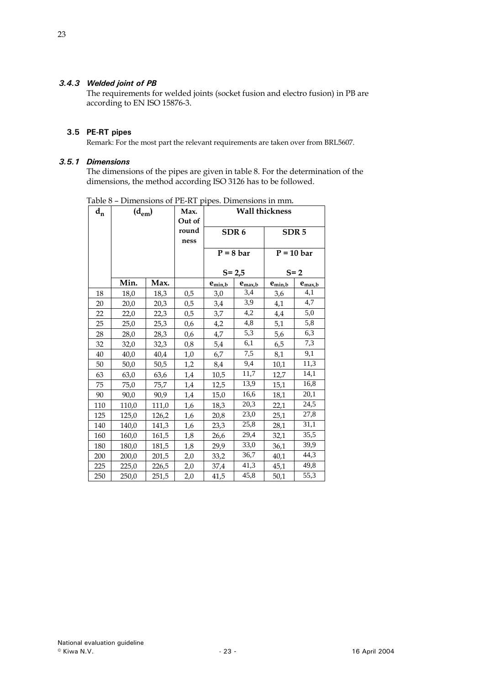# <span id="page-22-0"></span>*3.4.3 Welded joint of PB*

The requirements for welded joints (socket fusion and electro fusion) in PB are according to EN ISO 15876-3.

# **3.5 PE-RT pipes**

Remark: For the most part the relevant requirements are taken over from BRL5607.

#### *3.5.1 Dimensions*

The dimensions of the pipes are given in table 8. For the determination of the dimensions, the method according ISO 3126 has to be followed.

| $\mathbf{d}_{\mathbf{n}}$ | $(d_{em})$ |       | Max.<br>Out of | <b>Wall thickness</b> |                    |                  |             |
|---------------------------|------------|-------|----------------|-----------------------|--------------------|------------------|-------------|
|                           |            |       | round<br>ness  | SDR <sub>6</sub>      |                    | SDR <sub>5</sub> |             |
|                           |            |       |                |                       | $P = 8$ bar        | $P = 10$ bar     |             |
|                           |            |       |                |                       | $S = 2,5$          |                  | $S = 2$     |
|                           | Min.       | Max.  |                | $e_{min,b}$           | $e_{\text{max},b}$ | $e_{min,b}$      | $e_{max,b}$ |
| 18                        | 18,0       | 18,3  | 0,5            | 3,0                   | 3,4                | 3,6              | 4,1         |
| 20                        | 20,0       | 20,3  | 0,5            | 3,4                   | 3,9                | 4,1              | 4,7         |
| 22                        | 22,0       | 22,3  | 0,5            | 3,7                   | 4,2                | 4,4              | 5,0         |
| 25                        | 25,0       | 25,3  | 0,6            | 4,2                   | 4,8                | 5,1              | 5,8         |
| 28                        | 28,0       | 28,3  | 0,6            | 4,7                   | 5,3                | 5,6              | 6,3         |
| 32                        | 32,0       | 32,3  | 0,8            | 5,4                   | 6,1                | 6,5              | 7,3         |
| 40                        | 40,0       | 40,4  | 1,0            | 6,7                   | 7,5                | 8,1              | 9,1         |
| 50                        | 50,0       | 50,5  | 1,2            | 8,4                   | 9,4                | 10,1             | 11,3        |
| 63                        | 63,0       | 63,6  | 1,4            | 10,5                  | 11,7               | 12,7             | 14,1        |
| 75                        | 75,0       | 75,7  | 1,4            | 12,5                  | 13,9               | 15,1             | 16,8        |
| 90                        | 90,0       | 90,9  | 1,4            | 15,0                  | 16,6               | 18,1             | 20,1        |
| 110                       | 110,0      | 111,0 | 1,6            | 18,3                  | 20,3               | 22,1             | 24,5        |
| 125                       | 125,0      | 126,2 | 1,6            | 20,8                  | 23,0               | 25,1             | 27,8        |
| 140                       | 140,0      | 141,3 | 1,6            | 23,3                  | 25,8               | 28,1             | 31,1        |
| 160                       | 160,0      | 161,5 | 1,8            | 26,6                  | 29,4               | 32,1             | 35,5        |
| 180                       | 180,0      | 181,5 | 1,8            | 29,9                  | 33,0               | 36,1             | 39,9        |
| 200                       | 200,0      | 201,5 | 2,0            | 33,2                  | 36,7               | 40,1             | 44,3        |
| 225                       | 225,0      | 226,5 | 2,0            | 37,4                  | 41,3               | 45,1             | 49,8        |
| 250                       | 250,0      | 251,5 | 2,0            | 41,5                  | 45,8               | 50,1             | 55,3        |

Table 8 – Dimensions of PE-RT pipes. Dimensions in mm*.*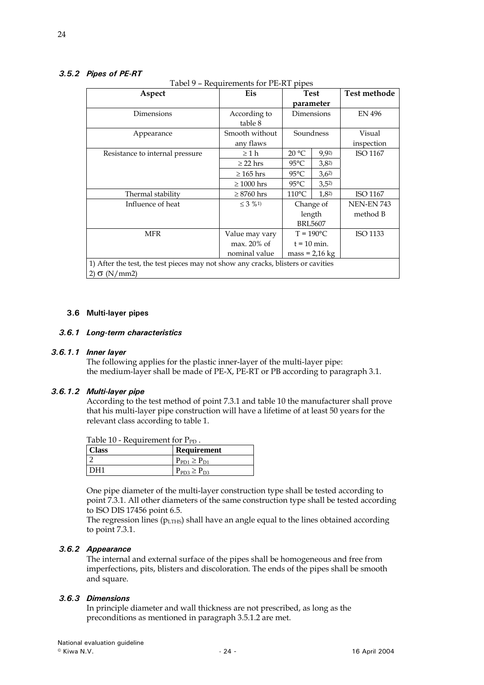# <span id="page-23-0"></span>*3.5.2 Pipes of PE-RT*

Tabel 9 – Requirements for PE-RT pipes

| Aspect                                                                           | requirements for the most<br>Eis | <b>Test</b>        |                  | <b>Test methode</b> |
|----------------------------------------------------------------------------------|----------------------------------|--------------------|------------------|---------------------|
|                                                                                  |                                  | parameter          |                  |                     |
| Dimensions                                                                       | According to                     | Dimensions         |                  | <b>EN 496</b>       |
|                                                                                  | table 8                          |                    |                  |                     |
| Appearance                                                                       | Smooth without                   | Soundness          |                  | Visual              |
|                                                                                  | any flaws                        |                    |                  | inspection          |
| Resistance to internal pressure                                                  | $\geq 1$ h                       | 20 °C              | 9,92             | ISO 1167            |
|                                                                                  | $\geq$ 22 hrs                    | $95^{\circ}$ C     | 3,82             |                     |
|                                                                                  | $\geq 165$ hrs                   | $95^{\circ}$ C     | 3,62             |                     |
|                                                                                  | $\geq 1000$ hrs                  | $95^{\circ}$ C     | $3,5^2$          |                     |
| Thermal stability                                                                | $\geq 8760$ hrs                  | $110^{\circ}$ C    | 1,8 <sup>2</sup> | ISO 1167            |
| Influence of heat                                                                | $\leq$ 3 % 1)                    | Change of          |                  | <b>NEN-EN 743</b>   |
|                                                                                  |                                  | length             |                  | method B            |
|                                                                                  |                                  | <b>BRL5607</b>     |                  |                     |
| <b>MFR</b>                                                                       | Value may vary                   | $T = 190^{\circ}C$ |                  | ISO 1133            |
|                                                                                  | $max. 20\%$ of                   | $t = 10$ min.      |                  |                     |
|                                                                                  | nominal value                    | $mass = 2.16$ kg   |                  |                     |
| 1) After the test, the test pieces may not show any cracks, blisters or cavities |                                  |                    |                  |                     |
| 2) $\sigma$ (N/mm2)                                                              |                                  |                    |                  |                     |

#### **3.6 Multi-layer pipes**

#### *3.6.1 Long-term characteristics*

#### *3.6.1.1 Inner layer*

The following applies for the plastic inner-layer of the multi-layer pipe: the medium-layer shall be made of PE-X, PE-RT or PB according to paragraph 3.1.

#### *3.6.1.2 Multi-layer pipe*

According to the test method of point 7.3.1 and table 10 the manufacturer shall prove that his multi-layer pipe construction will have a lifetime of at least 50 years for the relevant class according to table 1.

| Table 10 - Requirement for $P_{PD}$ . |                               |  |  |  |
|---------------------------------------|-------------------------------|--|--|--|
| <b>Class</b>                          | <b>Requirement</b>            |  |  |  |
|                                       | $P_{\rm PD1} \geq P_{\rm D1}$ |  |  |  |
| DH1                                   | $P_{PD3} \ge P_{D3}$          |  |  |  |

One pipe diameter of the multi-layer construction type shall be tested according to point 7.3.1. All other diameters of the same construction type shall be tested according to ISO DIS 17456 point 6.5.

The regression lines ( $p_{LTHS}$ ) shall have an angle equal to the lines obtained according to point 7.3.1.

#### *3.6.2 Appearance*

The internal and external surface of the pipes shall be homogeneous and free from imperfections, pits, blisters and discoloration. The ends of the pipes shall be smooth and square.

#### *3.6.3 Dimensions*

In principle diameter and wall thickness are not prescribed, as long as the preconditions as mentioned in paragraph 3.5.1.2 are met.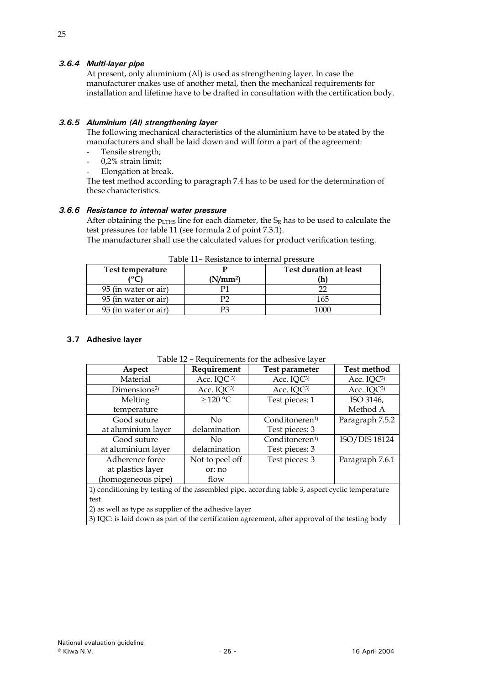# <span id="page-24-0"></span>*3.6.4 Multi-layer pipe*

At present, only aluminium (Al) is used as strengthening layer. In case the manufacturer makes use of another metal, then the mechanical requirements for installation and lifetime have to be drafted in consultation with the certification body.

#### *3.6.5 Aluminium (Al) strengthening layer*

The following mechanical characteristics of the aluminium have to be stated by the manufacturers and shall be laid down and will form a part of the agreement:

- Tensile strength;
- 0,2% strain limit;
- Elongation at break.

The test method according to paragraph 7.4 has to be used for the determination of these characteristics.

# *3.6.6 Resistance to internal water pressure*

After obtaining the  $p_{LTHS}$  line for each diameter, the  $S_R$  has to be used to calculate the test pressures for table 11 (see formula 2 of point 7.3.1).

The manufacturer shall use the calculated values for product verification testing.

| Test temperature     | (N/mm <sup>2</sup> ) | Test duration at least |
|----------------------|----------------------|------------------------|
| 95 (in water or air) |                      |                        |
| 95 (in water or air) |                      | 165                    |
| 95 (in water or air) |                      | 1በበበ                   |

Table 11– Resistance to internal pressure

#### **3.7 Adhesive layer**

| Table 12 – Requirements for the adhesive layer |  |  |
|------------------------------------------------|--|--|
|------------------------------------------------|--|--|

| Aspect                                                                                          | Requirement            | Test parameter             | <b>Test method</b>     |  |  |
|-------------------------------------------------------------------------------------------------|------------------------|----------------------------|------------------------|--|--|
| Material                                                                                        | Acc. IQC <sup>3)</sup> | Acc. IQC3)                 | Acc. IQC3)             |  |  |
| Dimensions <sup>2)</sup>                                                                        | Acc. IQC <sup>3)</sup> | Acc. IQC <sup>3)</sup>     | Acc. IQC <sup>3)</sup> |  |  |
| Melting                                                                                         | ≥ 120 °C               | Test pieces: 1             | ISO 3146,              |  |  |
| temperature                                                                                     |                        |                            | Method A               |  |  |
| Good suture                                                                                     | No                     | Conditioneren <sup>1</sup> | Paragraph 7.5.2        |  |  |
| at aluminium layer                                                                              | delamination           | Test pieces: 3             |                        |  |  |
| Good suture                                                                                     | No.                    | Conditoneren <sup>1)</sup> | ISO/DIS 18124          |  |  |
| at aluminium layer                                                                              | delamination           | Test pieces: 3             |                        |  |  |
| Adherence force                                                                                 | Not to peel off        | Test pieces: 3             | Paragraph 7.6.1        |  |  |
| at plastics layer                                                                               | or: no                 |                            |                        |  |  |
| (homogeneous pipe)                                                                              | flow                   |                            |                        |  |  |
| 1) conditioning by testing of the assembled pipe, according table 3, aspect cyclic temperature  |                        |                            |                        |  |  |
| test                                                                                            |                        |                            |                        |  |  |
| 2) as well as type as supplier of the adhesive layer                                            |                        |                            |                        |  |  |
| 3) IQC: is laid down as part of the certification agreement, after approval of the testing body |                        |                            |                        |  |  |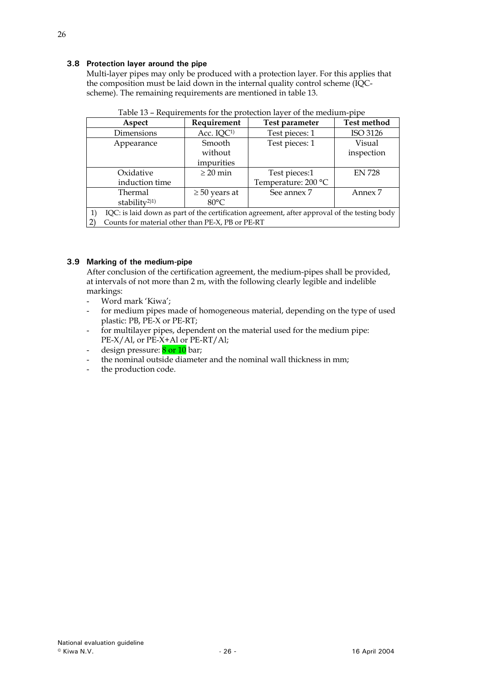# <span id="page-25-0"></span>**3.8 Protection layer around the pipe**

Multi-layer pipes may only be produced with a protection layer. For this applies that the composition must be laid down in the internal quality control scheme (IQCscheme). The remaining requirements are mentioned in table 13.

| Aspect                                                                                       | Requirement            | Test parameter      | <b>Test method</b> |  |  |
|----------------------------------------------------------------------------------------------|------------------------|---------------------|--------------------|--|--|
| Dimensions                                                                                   | Acc. IQC <sup>1)</sup> | Test pieces: 1      | ISO 3126           |  |  |
| Appearance                                                                                   | Smooth                 | Test pieces: 1      | Visual             |  |  |
|                                                                                              | without                |                     | inspection         |  |  |
|                                                                                              | impurities             |                     |                    |  |  |
| Oxidative                                                                                    | $\geq 20$ min          | Test pieces:1       | <b>EN 728</b>      |  |  |
| induction time                                                                               |                        | Temperature: 200 °C |                    |  |  |
| Thermal                                                                                      | $\geq 50$ years at     | See annex 7         | Annex 7            |  |  |
| stability <sup>2)1)</sup>                                                                    | $80^{\circ}$ C         |                     |                    |  |  |
| IQC: is laid down as part of the certification agreement, after approval of the testing body |                        |                     |                    |  |  |
| Counts for material other than PE-X, PB or PE-RT                                             |                        |                     |                    |  |  |

| Table 13 - Requirements for the protection layer of the medium-pipe |  |  |  |
|---------------------------------------------------------------------|--|--|--|
|                                                                     |  |  |  |

# **3.9 Marking of the medium-pipe**

After conclusion of the certification agreement, the medium-pipes shall be provided, at intervals of not more than 2 m, with the following clearly legible and indelible markings:

- Word mark 'Kiwa';
- for medium pipes made of homogeneous material, depending on the type of used plastic: PB, PE-X or PE-RT;
- for multilayer pipes, dependent on the material used for the medium pipe: PE-X/Al, or PE-X+Al or PE-RT/Al;
- design pressure: 8 or 10 bar;
- the nominal outside diameter and the nominal wall thickness in mm;
- the production code.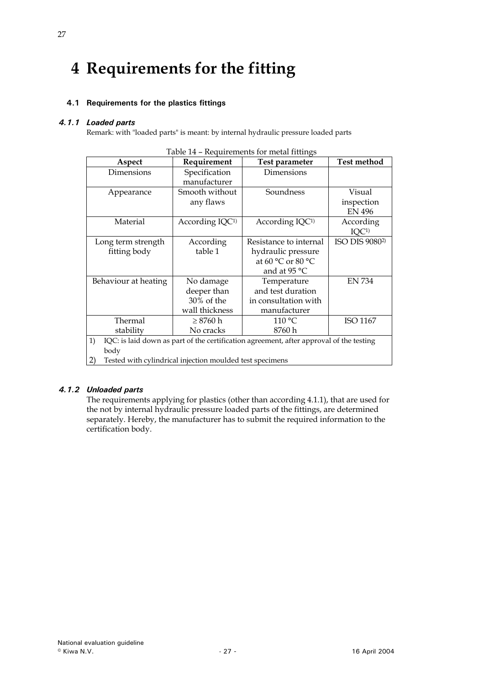# <span id="page-26-0"></span>**4 Requirements for the fitting**

# **4.1 Requirements for the plastics fittings**

# *4.1.1 Loaded parts*

Remark: with "loaded parts" is meant: by internal hydraulic pressure loaded parts

| Table 14 – Requirements for metal number                       |                             |                                                                                         |                            |  |  |
|----------------------------------------------------------------|-----------------------------|-----------------------------------------------------------------------------------------|----------------------------|--|--|
| Aspect                                                         | Requirement                 | Test parameter                                                                          | <b>Test method</b>         |  |  |
| Dimensions                                                     | Specification               | Dimensions                                                                              |                            |  |  |
|                                                                | manufacturer                |                                                                                         |                            |  |  |
| Appearance                                                     | Smooth without              | Soundness                                                                               | Visual                     |  |  |
|                                                                | any flaws                   |                                                                                         | inspection                 |  |  |
|                                                                |                             |                                                                                         | <b>EN 496</b>              |  |  |
| Material                                                       | According IQC <sup>1)</sup> | According IQC <sup>1)</sup>                                                             | According                  |  |  |
|                                                                |                             |                                                                                         | IQC <sup>1</sup>           |  |  |
| Long term strength                                             | According                   | Resistance to internal                                                                  | ISO DIS 9080 <sup>2)</sup> |  |  |
| fitting body                                                   | table 1                     | hydraulic pressure                                                                      |                            |  |  |
|                                                                |                             | at 60 °C or 80 °C                                                                       |                            |  |  |
|                                                                |                             | and at 95 °C                                                                            |                            |  |  |
| Behaviour at heating                                           | No damage                   | Temperature                                                                             | <b>EN 734</b>              |  |  |
|                                                                | deeper than                 | and test duration                                                                       |                            |  |  |
|                                                                | 30% of the                  | in consultation with                                                                    |                            |  |  |
|                                                                | wall thickness              | manufacturer                                                                            |                            |  |  |
| Thermal                                                        | $\geq 8760$ h               | $110\,^{\circ}\mathrm{C}$                                                               | ISO 1167                   |  |  |
| stability                                                      | No cracks                   | 8760 h                                                                                  |                            |  |  |
| 1)                                                             |                             | IQC: is laid down as part of the certification agreement, after approval of the testing |                            |  |  |
| body                                                           |                             |                                                                                         |                            |  |  |
| 2)<br>Tested with cylindrical injection moulded test specimens |                             |                                                                                         |                            |  |  |

| Table 14 - Requirements for metal fittings |  |
|--------------------------------------------|--|
|                                            |  |

#### *4.1.2 Unloaded parts*

The requirements applying for plastics (other than according 4.1.1), that are used for the not by internal hydraulic pressure loaded parts of the fittings, are determined separately. Hereby, the manufacturer has to submit the required information to the certification body.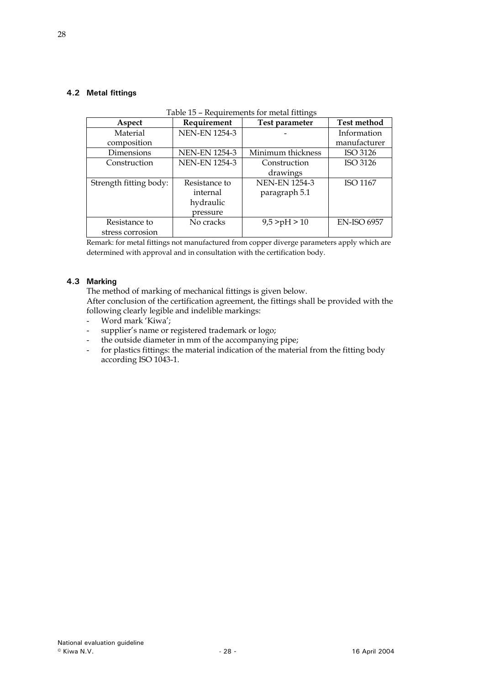# <span id="page-27-0"></span>**4.2 Metal fittings**

|                        | Table 15 – Requirements for metal fittings |                      |                    |  |  |  |
|------------------------|--------------------------------------------|----------------------|--------------------|--|--|--|
| Aspect                 | Requirement                                | Test parameter       | <b>Test method</b> |  |  |  |
| Material               | <b>NEN-EN 1254-3</b>                       |                      | Information        |  |  |  |
| composition            |                                            |                      | manufacturer       |  |  |  |
| Dimensions             | <b>NEN-EN 1254-3</b>                       | Minimum thickness    | ISO 3126           |  |  |  |
| Construction           | <b>NEN-EN 1254-3</b>                       | Construction         | ISO 3126           |  |  |  |
|                        |                                            | drawings             |                    |  |  |  |
| Strength fitting body: | Resistance to                              | <b>NEN-EN 1254-3</b> | <b>ISO 1167</b>    |  |  |  |
|                        | internal                                   | paragraph 5.1        |                    |  |  |  |
|                        | hydraulic                                  |                      |                    |  |  |  |
|                        | pressure                                   |                      |                    |  |  |  |
| Resistance to          | No cracks                                  | 9,5 > pH > 10        | <b>EN-ISO 6957</b> |  |  |  |
| stress corrosion       |                                            |                      |                    |  |  |  |

#### Table 15 – Requirements for metal fittings

Remark: for metal fittings not manufactured from copper diverge parameters apply which are determined with approval and in consultation with the certification body.

# **4.3 Marking**

The method of marking of mechanical fittings is given below.

After conclusion of the certification agreement, the fittings shall be provided with the following clearly legible and indelible markings:

- Word mark 'Kiwa';
- supplier's name or registered trademark or logo;
- the outside diameter in mm of the accompanying pipe;
- for plastics fittings: the material indication of the material from the fitting body according ISO 1043-1.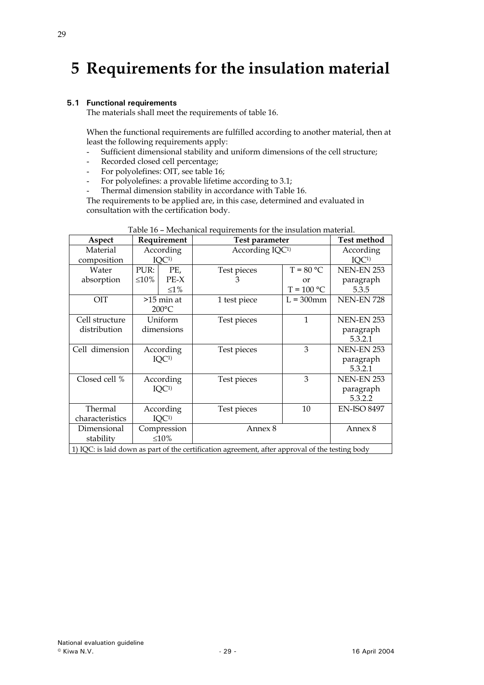# <span id="page-28-0"></span>**5 Requirements for the insulation material**

#### **5.1 Functional requirements**

The materials shall meet the requirements of table 16.

When the functional requirements are fulfilled according to another material, then at least the following requirements apply:

- Sufficient dimensional stability and uniform dimensions of the cell structure;
- Recorded closed cell percentage;
- For polyolefines: OIT, see table 16;
- For polyolefines: a provable lifetime according to 3.1;
- Thermal dimension stability in accordance with Table 16.

The requirements to be applied are, in this case, determined and evaluated in consultation with the certification body.

| Aspect          |             | Requirement      | Test parameter                                                                                  |                             | <b>Test method</b> |
|-----------------|-------------|------------------|-------------------------------------------------------------------------------------------------|-----------------------------|--------------------|
| Material        |             | According        |                                                                                                 | According IQC <sup>1)</sup> |                    |
| composition     |             | IQC <sup>1</sup> |                                                                                                 |                             | IOC <sub>1</sub>   |
| Water           | PUR:        | PE,              | Test pieces                                                                                     | $T = 80 °C$                 | <b>NEN-EN 253</b>  |
| absorption      | $\leq 10\%$ | $PE-X$           | 3                                                                                               | or                          | paragraph          |
|                 |             | $\leq1\%$        |                                                                                                 | $T = 100 °C$                | 5.3.5              |
| OIT             |             | $>15$ min at     | 1 test piece                                                                                    | $L = 300$ mm                | <b>NEN-EN 728</b>  |
|                 |             | $200^{\circ}$ C  |                                                                                                 |                             |                    |
| Cell structure  |             | Uniform          | Test pieces                                                                                     | $\mathbf{1}$                | <b>NEN-EN 253</b>  |
| distribution    | dimensions  |                  |                                                                                                 |                             | paragraph          |
|                 |             |                  |                                                                                                 |                             | 5.3.2.1            |
| Cell dimension  | According   |                  | Test pieces                                                                                     | 3                           | <b>NEN-EN 253</b>  |
|                 |             | IOC <sub>1</sub> |                                                                                                 |                             | paragraph          |
|                 |             |                  |                                                                                                 |                             | 5.3.2.1            |
| Closed cell %   |             | According        | Test pieces                                                                                     | 3                           | <b>NEN-EN 253</b>  |
|                 |             | IQC <sup>1</sup> |                                                                                                 |                             | paragraph          |
|                 |             |                  |                                                                                                 |                             | 5.3.2.2            |
| Thermal         |             | According        | Test pieces                                                                                     | 10                          | <b>EN-ISO 8497</b> |
| characteristics |             | IQC <sup>1</sup> |                                                                                                 |                             |                    |
| Dimensional     |             | Compression      | Annex 8                                                                                         |                             | Annex 8            |
| stability       |             | $\leq 10\%$      |                                                                                                 |                             |                    |
|                 |             |                  | 1) IQC: is laid down as part of the certification agreement, after approval of the testing body |                             |                    |

| Table 16 - Mechanical requirements for the insulation material. |
|-----------------------------------------------------------------|
|-----------------------------------------------------------------|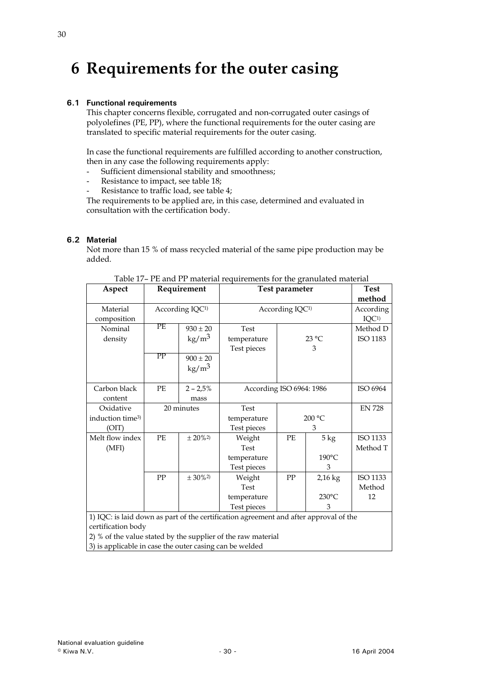# <span id="page-29-0"></span>**6 Requirements for the outer casing**

# **6.1 Functional requirements**

This chapter concerns flexible, corrugated and non-corrugated outer casings of polyolefines (PE, PP), where the functional requirements for the outer casing are translated to specific material requirements for the outer casing.

In case the functional requirements are fulfilled according to another construction, then in any case the following requirements apply:

- Sufficient dimensional stability and smoothness;
- Resistance to impact, see table 18;
- Resistance to traffic load, see table 4;

The requirements to be applied are, in this case, determined and evaluated in consultation with the certification body.

# **6.2 Material**

Not more than 15 % of mass recycled material of the same pipe production may be added.

| Aspect                       |                                                                                       | Requirement     | Test parameter              |                          | <b>Test</b>     |               |
|------------------------------|---------------------------------------------------------------------------------------|-----------------|-----------------------------|--------------------------|-----------------|---------------|
|                              |                                                                                       |                 |                             |                          |                 | method        |
| Material                     | According IQC <sup>1)</sup>                                                           |                 | According IQC <sup>1)</sup> |                          | According       |               |
| composition                  |                                                                                       |                 |                             |                          |                 |               |
| Nominal                      | РE                                                                                    | $930 \pm 20$    | <b>Test</b>                 |                          |                 | Method D      |
| density                      |                                                                                       | $\text{kg/m}^3$ | temperature                 |                          | 23 °C           | ISO 1183      |
|                              |                                                                                       |                 | Test pieces                 |                          | 3               |               |
|                              | PP                                                                                    | $900 \pm 20$    |                             |                          |                 |               |
|                              |                                                                                       | $\text{kg/m}^3$ |                             |                          |                 |               |
|                              |                                                                                       |                 |                             |                          |                 |               |
| Carbon black                 | PE                                                                                    | $2 - 2,5%$      |                             | According ISO 6964: 1986 |                 | ISO 6964      |
| content                      |                                                                                       | mass            |                             |                          |                 |               |
| Oxidative                    |                                                                                       | 20 minutes      | Test                        |                          |                 | <b>EN 728</b> |
| induction time <sup>3)</sup> |                                                                                       |                 | temperature                 | 200 °C                   |                 |               |
| (OIT)                        |                                                                                       |                 | Test pieces                 |                          | 3               |               |
| Melt flow index              | PE                                                                                    | $± 20\%2$       | Weight                      | PF.                      | $5 \text{ kg}$  | ISO 1133      |
| (MFI)                        |                                                                                       |                 | Test                        |                          |                 | Method T      |
|                              |                                                                                       |                 | temperature                 |                          | 190°C           |               |
|                              |                                                                                       |                 | Test pieces                 |                          | 3               |               |
|                              | ${\rm PP}$                                                                            | $± 30\%2$       | Weight                      | PP                       | $2,16$ kg       | ISO 1133      |
|                              |                                                                                       |                 | Test                        |                          |                 | Method        |
|                              |                                                                                       |                 | temperature                 |                          | $230^{\circ}$ C | 12            |
|                              |                                                                                       |                 | Test pieces                 |                          | 3               |               |
|                              | 1) IQC: is laid down as part of the certification agreement and after approval of the |                 |                             |                          |                 |               |
| certification body           |                                                                                       |                 |                             |                          |                 |               |

Table 17– PE and PP material requirements for the granulated material

2) % of the value stated by the supplier of the raw material 3) is applicable in case the outer casing can be welded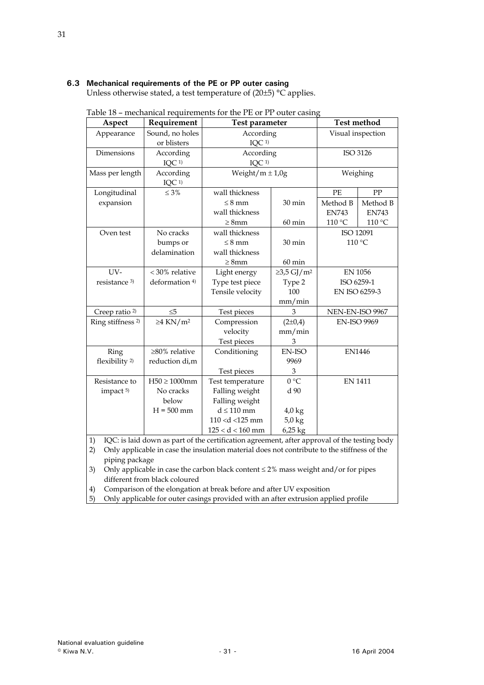# <span id="page-30-0"></span>**6.3 Mechanical requirements of the PE or PP outer casing**

Unless otherwise stated, a test temperature of (20±5) °C applies.

| Aspect                       | Requirement                | Test parameter                               |                  |                 | <b>Test method</b> |  |
|------------------------------|----------------------------|----------------------------------------------|------------------|-----------------|--------------------|--|
| Appearance                   | Sound, no holes            | According                                    |                  |                 | Visual inspection  |  |
|                              | or blisters                | IQC <sup>1</sup>                             |                  |                 |                    |  |
| Dimensions                   | According                  |                                              | According        |                 | ISO 3126           |  |
|                              | IQC <sup>1)</sup>          | IOC <sub>1</sub>                             |                  |                 |                    |  |
| Mass per length              | According                  | Weight/ $m \pm 1.0g$                         |                  |                 | Weighing           |  |
|                              | IQC <sup>1</sup>           |                                              |                  |                 |                    |  |
| Longitudinal                 | $\leq 3\%$                 | wall thickness                               |                  | PE              | PP                 |  |
| expansion                    |                            | $\leq$ 8 mm                                  | 30 min           | Method B        | Method B           |  |
|                              |                            | wall thickness                               |                  | <b>EN743</b>    | <b>EN743</b>       |  |
|                              |                            | $\geq$ 8mm                                   | $60 \text{ min}$ | 110 °C          | 110 °C             |  |
| Oven test                    | No cracks                  | wall thickness                               |                  |                 | ISO 12091          |  |
|                              | bumps or                   | $\leq 8$ mm                                  | $30 \text{ min}$ |                 | 110 °C             |  |
|                              | delamination               | wall thickness                               |                  |                 |                    |  |
|                              |                            | $\geq$ 8mm                                   | $60 \text{ min}$ |                 |                    |  |
| $UV-$                        | < 30% relative             | $\geq$ 3,5 GJ/m <sup>2</sup><br>Light energy |                  | <b>EN 1056</b>  |                    |  |
| resistance <sup>3)</sup>     | deformation <sup>4)</sup>  | Type test piece                              | Type 2           | ISO 6259-1      |                    |  |
|                              |                            | Tensile velocity                             | 100              |                 | EN ISO 6259-3      |  |
|                              |                            |                                              | mm/min           |                 |                    |  |
| Creep ratio <sup>2)</sup>    | $\leq 5$                   | Test pieces                                  | 3                | NEN-EN-ISO 9967 |                    |  |
| Ring stiffness <sup>2)</sup> | $\geq$ 4 KN/m <sup>2</sup> | Compression                                  | $(2\pm 0.4)$     |                 | <b>EN-ISO 9969</b> |  |
|                              |                            | velocity                                     | mm/min           |                 |                    |  |
|                              |                            | Test pieces                                  | 3                |                 |                    |  |
| Ring                         | $\geq 80\%$ relative       | Conditioning                                 | <b>EN-ISO</b>    |                 | <b>EN1446</b>      |  |
| flexibility <sup>2)</sup>    | reduction di,m             |                                              | 9969             |                 |                    |  |
|                              |                            | Test pieces                                  | 3                |                 |                    |  |
| Resistance to                | $H50 \ge 1000$ mm          | Test temperature                             | 0 °C             | <b>EN 1411</b>  |                    |  |
| impact <sup>5)</sup>         | No cracks                  | Falling weight                               | d 90             |                 |                    |  |
|                              | below                      | Falling weight                               |                  |                 |                    |  |
|                              | $H = 500$ mm               | $d \leq 110$ mm                              | $4.0 \text{ kg}$ |                 |                    |  |
|                              |                            | $110 < d < 125$ mm                           | $5.0$ kg         |                 |                    |  |
|                              |                            | $125 < d < 160$ mm                           | 6,25 kg          |                 |                    |  |

|  | Table 18 - mechanical requirements for the PE or PP outer casing |
|--|------------------------------------------------------------------|
|  |                                                                  |

1) IQC: is laid down as part of the certification agreement, after approval of the testing body

2) Only applicable in case the insulation material does not contribute to the stiffness of the piping package

3) Only applicable in case the carbon black content ≤ 2% mass weight and/or for pipes different from black coloured

4) Comparison of the elongation at break before and after UV exposition

5) Only applicable for outer casings provided with an after extrusion applied profile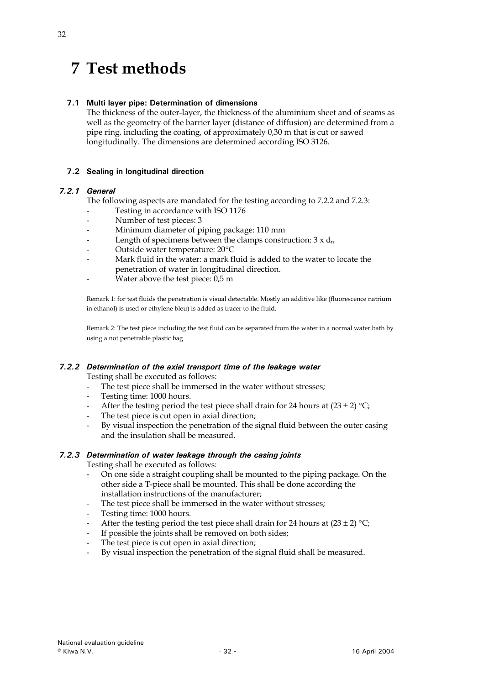# <span id="page-31-0"></span>**7 Test methods**

# **7.1 Multi layer pipe: Determination of dimensions**

The thickness of the outer-layer, the thickness of the aluminium sheet and of seams as well as the geometry of the barrier layer (distance of diffusion) are determined from a pipe ring, including the coating, of approximately 0,30 m that is cut or sawed longitudinally. The dimensions are determined according ISO 3126.

# **7.2 Sealing in longitudinal direction**

# *7.2.1 General*

The following aspects are mandated for the testing according to 7.2.2 and 7.2.3:

- Testing in accordance with ISO 1176
- Number of test pieces: 3
- Minimum diameter of piping package: 110 mm
- Length of specimens between the clamps construction:  $3 \times d_n$
- Outside water temperature: 20°C
- Mark fluid in the water: a mark fluid is added to the water to locate the penetration of water in longitudinal direction.
- Water above the test piece: 0,5 m

Remark 1: for test fluids the penetration is visual detectable. Mostly an additive like (fluorescence natrium in ethanol) is used or ethylene bleu) is added as tracer to the fluid.

Remark 2: The test piece including the test fluid can be separated from the water in a normal water bath by using a not penetrable plastic bag

# *7.2.2 Determination of the axial transport time of the leakage water*

Testing shall be executed as follows:

- The test piece shall be immersed in the water without stresses;
- Testing time: 1000 hours.
- After the testing period the test piece shall drain for 24 hours at  $(23 \pm 2)$  °C;
- The test piece is cut open in axial direction;
- By visual inspection the penetration of the signal fluid between the outer casing and the insulation shall be measured.

# *7.2.3 Determination of water leakage through the casing joints*

Testing shall be executed as follows:

- On one side a straight coupling shall be mounted to the piping package. On the other side a T-piece shall be mounted. This shall be done according the installation instructions of the manufacturer;
- The test piece shall be immersed in the water without stresses;
- Testing time: 1000 hours.
- After the testing period the test piece shall drain for 24 hours at  $(23 \pm 2)$  °C;
- If possible the joints shall be removed on both sides;
- The test piece is cut open in axial direction;
- By visual inspection the penetration of the signal fluid shall be measured.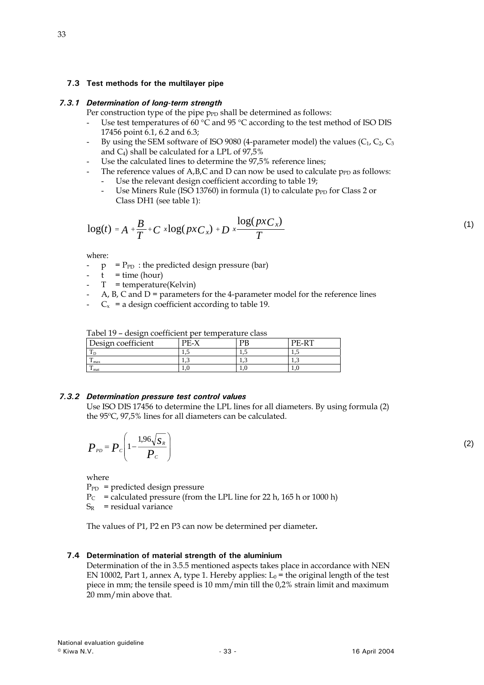#### <span id="page-32-0"></span>**7.3 Test methods for the multilayer pipe**

#### *7.3.1 Determination of long-term strength*

Per construction type of the pipe  $p_{FD}$  shall be determined as follows:

- Use test temperatures of 60  $\degree$ C and 95  $\degree$ C according to the test method of ISO DIS 17456 point 6.1, 6.2 and 6.3;
- By using the SEM software of ISO 9080 (4-parameter model) the values  $(C_1, C_2, C_3)$ and  $C_4$ ) shall be calculated for a LPL of 97,5%
- Use the calculated lines to determine the 97,5% reference lines;
- The reference values of  $A$ , $B$ , $C$  and  $D$  can now be used to calculate  $p_{PD}$  as follows:
	- Use the relevant design coefficient according to table 19;
	- Use Miners Rule (ISO 13760) in formula (1) to calculate  $p_{FD}$  for Class 2 or Class DH1 (see table 1):

$$
\log(t) = A + \frac{B}{T} + C \times \log(p \times C_x) + D \times \frac{\log(p \times C_x)}{T}
$$
\n(1)

where:

- $p = P_{PD}$ : the predicted design pressure (bar)
- $t =$  time (hour)
- $-T$  = temperature(Kelvin)
- $A$ ,  $B$ ,  $C$  and  $D$  = parameters for the 4-parameter model for the reference lines
- $C_x$  = a design coefficient according to table 19.

| Tabel 19 – design coefficient per temperature class |  |  |  |  |  |
|-----------------------------------------------------|--|--|--|--|--|
| Design coefficient<br>РR<br>$PF_{-}Y$<br>PE-RT      |  |  |  |  |  |
|                                                     |  |  |  |  |  |
| 1 max                                               |  |  |  |  |  |
| · mat                                               |  |  |  |  |  |

#### *7.3.2 Determination pressure test control values*

Use ISO DIS 17456 to determine the LPL lines for all diameters. By using formula (2) the 95ºC, 97,5% lines for all diameters can be calculated.

$$
P_{\scriptscriptstyle PD} = P_c \left( 1 - \frac{1.96 \sqrt{S_R}}{P_c} \right) \tag{2}
$$

where

 $P_{PD}$  = predicted design pressure

 $P_C$  = calculated pressure (from the LPL line for 22 h, 165 h or 1000 h)

 $S_R$  = residual variance

The values of P1, P2 en P3 can now be determined per diameter**.** 

#### **7.4 Determination of material strength of the aluminium**

Determination of the in 3.5.5 mentioned aspects takes place in accordance with NEN EN 10002, Part 1, annex A, type 1. Hereby applies:  $L_0$  = the original length of the test piece in mm; the tensile speed is 10 mm/min till the 0,2% strain limit and maximum 20 mm/min above that.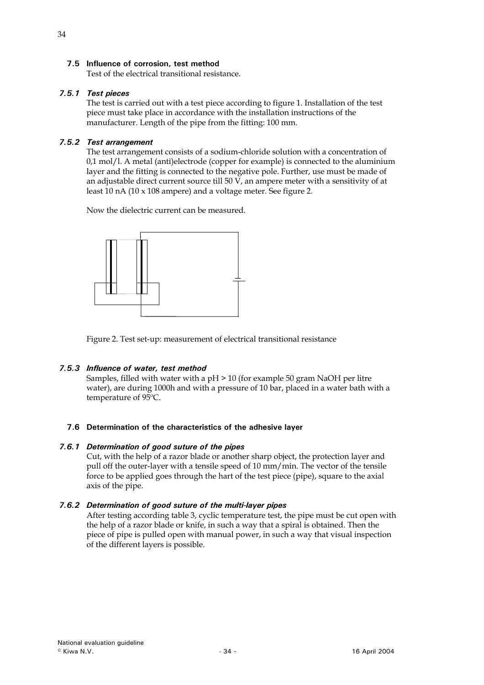# <span id="page-33-0"></span>**7.5 Influence of corrosion, test method**

Test of the electrical transitional resistance.

# *7.5.1 Test pieces*

The test is carried out with a test piece according to figure 1. Installation of the test piece must take place in accordance with the installation instructions of the manufacturer. Length of the pipe from the fitting: 100 mm.

# *7.5.2 Test arrangement*

The test arrangement consists of a sodium-chloride solution with a concentration of 0,1 mol/l. A metal (anti)electrode (copper for example) is connected to the aluminium layer and the fitting is connected to the negative pole. Further, use must be made of an adjustable direct current source till 50 V, an ampere meter with a sensitivity of at least 10 nA (10 x 108 ampere) and a voltage meter. See figure 2.

Now the dielectric current can be measured.



Figure 2. Test set-up: measurement of electrical transitional resistance

# *7.5.3 Influence of water, test method*

Samples, filled with water with a pH > 10 (for example 50 gram NaOH per litre water), are during 1000h and with a pressure of 10 bar, placed in a water bath with a temperature of 95ºC.

#### **7.6 Determination of the characteristics of the adhesive layer**

#### *7.6.1 Determination of good suture of the pipes*

Cut, with the help of a razor blade or another sharp object, the protection layer and pull off the outer-layer with a tensile speed of 10 mm/min. The vector of the tensile force to be applied goes through the hart of the test piece (pipe), square to the axial axis of the pipe.

# *7.6.2 Determination of good suture of the multi-layer pipes*

After testing according table 3, cyclic temperature test, the pipe must be cut open with the help of a razor blade or knife, in such a way that a spiral is obtained. Then the piece of pipe is pulled open with manual power, in such a way that visual inspection of the different layers is possible.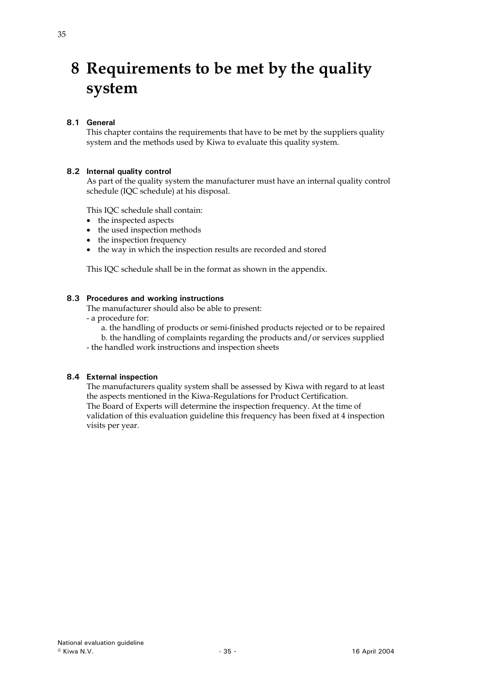# <span id="page-34-0"></span>**8 Requirements to be met by the quality system**

# **8.1 General**

This chapter contains the requirements that have to be met by the suppliers quality system and the methods used by Kiwa to evaluate this quality system.

### **8.2 Internal quality control**

As part of the quality system the manufacturer must have an internal quality control schedule (IQC schedule) at his disposal.

This IQC schedule shall contain:

- the inspected aspects
- the used inspection methods
- the inspection frequency
- the way in which the inspection results are recorded and stored

This IQC schedule shall be in the format as shown in the appendix.

#### **8.3 Procedures and working instructions**

The manufacturer should also be able to present:

- a procedure for:
	- a. the handling of products or semi-finished products rejected or to be repaired
	- b. the handling of complaints regarding the products and/or services supplied
- the handled work instructions and inspection sheets

#### **8.4 External inspection**

The manufacturers quality system shall be assessed by Kiwa with regard to at least the aspects mentioned in the Kiwa-Regulations for Product Certification. The Board of Experts will determine the inspection frequency. At the time of validation of this evaluation guideline this frequency has been fixed at 4 inspection visits per year.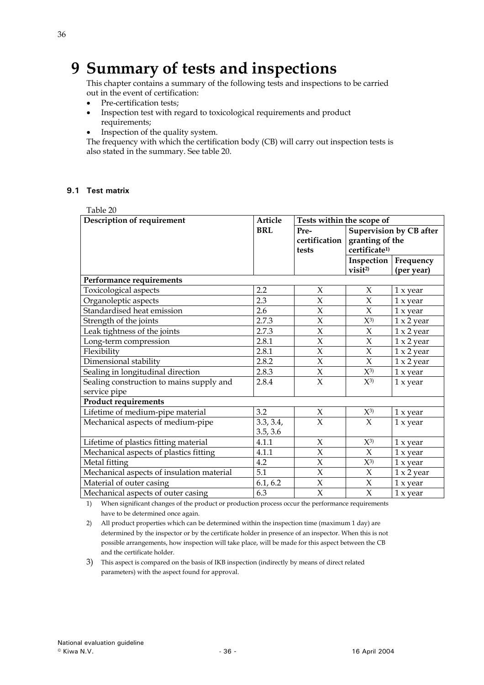# <span id="page-35-0"></span>**9 Summary of tests and inspections**

This chapter contains a summary of the following tests and inspections to be carried out in the event of certification:

- Pre-certification tests;
- Inspection test with regard to toxicological requirements and product requirements;
- Inspection of the quality system.

The frequency with which the certification body (CB) will carry out inspection tests is also stated in the summary. See table 20.

### **9.1 Test matrix**

| Table 20                                  |            |                   |                           |                                |
|-------------------------------------------|------------|-------------------|---------------------------|--------------------------------|
| Description of requirement                | Article    |                   | Tests within the scope of |                                |
|                                           | <b>BRL</b> | Pre-              |                           | <b>Supervision by CB after</b> |
|                                           |            | certification     | granting of the           |                                |
|                                           |            | tests             | certificate <sup>1)</sup> |                                |
|                                           |            |                   |                           | <b>Inspection</b>   Frequency  |
|                                           |            |                   | visit <sup>2</sup>        | (per year)                     |
| Performance requirements                  |            |                   |                           |                                |
| Toxicological aspects                     | 2.2        | X                 | $\chi$                    | $1 \times year$                |
| Organoleptic aspects                      | 2.3        | $\chi$            | $\chi$                    | 1 x year                       |
| Standardised heat emission                | 2.6        | $\chi$            | $\chi$                    | 1 x year                       |
| Strength of the joints                    | 2.7.3      | $\chi$            | $X^{3}$                   | $1 \times 2$ year              |
| Leak tightness of the joints              | 2.7.3      | $\chi$            | $\chi$                    | $1 \times 2$ year              |
| Long-term compression                     | 2.8.1      | $\chi$            | $\chi$                    | $1 \times 2$ year              |
| Flexibility                               | 2.8.1      | $\overline{\chi}$ | $\overline{X}$            | $1 \times 2$ year              |
| Dimensional stability                     | 2.8.2      | $\chi$            | $\chi$                    | $1 \times 2$ year              |
| Sealing in longitudinal direction         | 2.8.3      | $\chi$            | $X^{3}$                   | 1 x year                       |
| Sealing construction to mains supply and  | 2.8.4      | $\overline{\chi}$ | $X^{3}$                   | 1 x year                       |
| service pipe                              |            |                   |                           |                                |
| <b>Product requirements</b>               |            |                   |                           |                                |
| Lifetime of medium-pipe material          | 3.2        | X                 | $X^{3}$                   | 1 x year                       |
| Mechanical aspects of medium-pipe         | 3.3, 3.4,  | $\overline{X}$    | $\chi$                    | 1 x year                       |
|                                           | 3.5, 3.6   |                   |                           |                                |
| Lifetime of plastics fitting material     | 4.1.1      | X                 | $X^{3}$                   | 1 x year                       |
| Mechanical aspects of plastics fitting    | 4.1.1      | $\overline{X}$    | $\chi$                    | 1 x year                       |
| Metal fitting                             | 4.2        | $\chi$            | $X^{3}$                   | 1 x year                       |
| Mechanical aspects of insulation material | 5.1        | $\chi$            | X                         | $1 \times 2$ year              |
| Material of outer casing                  | 6.1, 6.2   | $\chi$            | X                         | 1 x year                       |
| Mechanical aspects of outer casing        | 6.3        | $\chi$            | X                         | 1 x year                       |

1) When significant changes of the product or production process occur the performance requirements have to be determined once again.

2) All product properties which can be determined within the inspection time (maximum 1 day) are determined by the inspector or by the certificate holder in presence of an inspector. When this is not possible arrangements, how inspection will take place, will be made for this aspect between the CB and the certificate holder.

3) This aspect is compared on the basis of IKB inspection (indirectly by means of direct related parameters) with the aspect found for approval.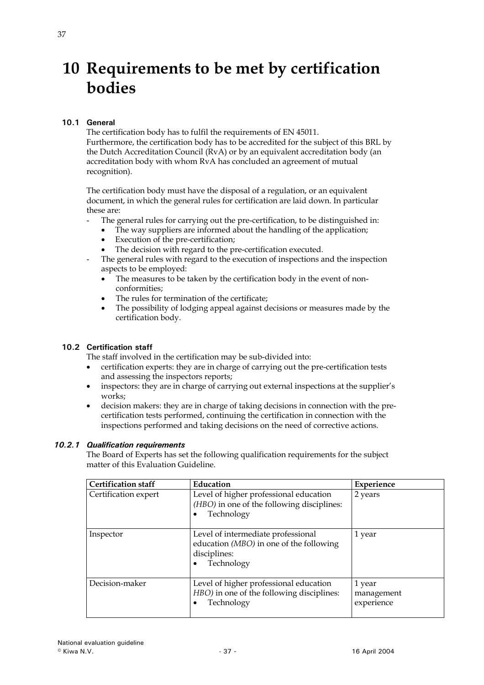# <span id="page-36-0"></span>**10 Requirements to be met by certification bodies**

# **10.1 General**

The certification body has to fulfil the requirements of EN 45011.

Furthermore, the certification body has to be accredited for the subject of this BRL by the Dutch Accreditation Council (RvA) or by an equivalent accreditation body (an accreditation body with whom RvA has concluded an agreement of mutual recognition).

The certification body must have the disposal of a regulation, or an equivalent document, in which the general rules for certification are laid down. In particular these are:

- The general rules for carrying out the pre-certification, to be distinguished in:
	- The way suppliers are informed about the handling of the application;
	- Execution of the pre-certification:
	- The decision with regard to the pre-certification executed.
- The general rules with regard to the execution of inspections and the inspection aspects to be employed:
	- The measures to be taken by the certification body in the event of nonconformities;
	- The rules for termination of the certificate;
	- The possibility of lodging appeal against decisions or measures made by the certification body.

# **10.2 Certification staff**

The staff involved in the certification may be sub-divided into:

- certification experts: they are in charge of carrying out the pre-certification tests and assessing the inspectors reports;
- inspectors: they are in charge of carrying out external inspections at the supplier's works;
- decision makers: they are in charge of taking decisions in connection with the precertification tests performed, continuing the certification in connection with the inspections performed and taking decisions on the need of corrective actions.

# *10.2.1 Qualification requirements*

The Board of Experts has set the following qualification requirements for the subject matter of this Evaluation Guideline.

| <b>Certification staff</b> | Education                                                                                                   | Experience                         |
|----------------------------|-------------------------------------------------------------------------------------------------------------|------------------------------------|
| Certification expert       | Level of higher professional education<br>(HBO) in one of the following disciplines:<br>Technology          | 2 years                            |
| Inspector                  | Level of intermediate professional<br>education (MBO) in one of the following<br>disciplines:<br>Technology | 1 year                             |
| Decision-maker             | Level of higher professional education<br>HBO) in one of the following disciplines:<br>Technology           | 1 year<br>management<br>experience |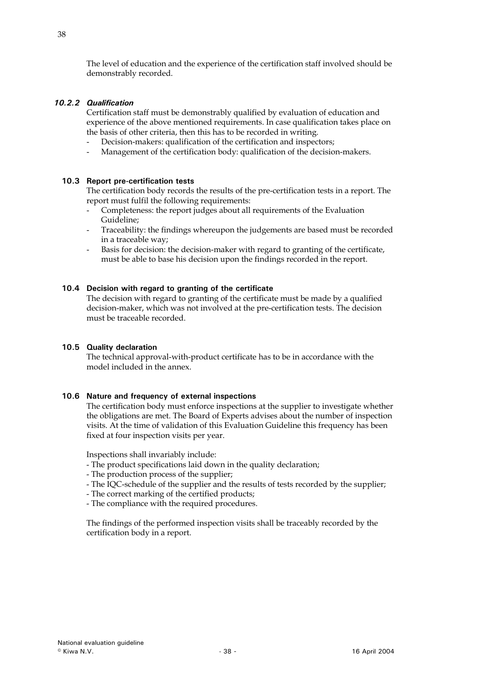<span id="page-37-0"></span>The level of education and the experience of the certification staff involved should be demonstrably recorded.

# *10.2.2 Qualification*

Certification staff must be demonstrably qualified by evaluation of education and experience of the above mentioned requirements. In case qualification takes place on the basis of other criteria, then this has to be recorded in writing.

- Decision-makers: qualification of the certification and inspectors;
- Management of the certification body: qualification of the decision-makers.

### **10.3 Report pre-certification tests**

The certification body records the results of the pre-certification tests in a report. The report must fulfil the following requirements:

- Completeness: the report judges about all requirements of the Evaluation Guideline;
- Traceability: the findings whereupon the judgements are based must be recorded in a traceable way;
- Basis for decision: the decision-maker with regard to granting of the certificate, must be able to base his decision upon the findings recorded in the report.

### **10.4 Decision with regard to granting of the certificate**

The decision with regard to granting of the certificate must be made by a qualified decision-maker, which was not involved at the pre-certification tests. The decision must be traceable recorded.

# **10.5 Quality declaration**

The technical approval-with-product certificate has to be in accordance with the model included in the annex.

#### **10.6 Nature and frequency of external inspections**

The certification body must enforce inspections at the supplier to investigate whether the obligations are met. The Board of Experts advises about the number of inspection visits. At the time of validation of this Evaluation Guideline this frequency has been fixed at four inspection visits per year.

Inspections shall invariably include:

- The product specifications laid down in the quality declaration;
- The production process of the supplier;
- The IQC-schedule of the supplier and the results of tests recorded by the supplier;
- The correct marking of the certified products;
- The compliance with the required procedures.

The findings of the performed inspection visits shall be traceably recorded by the certification body in a report.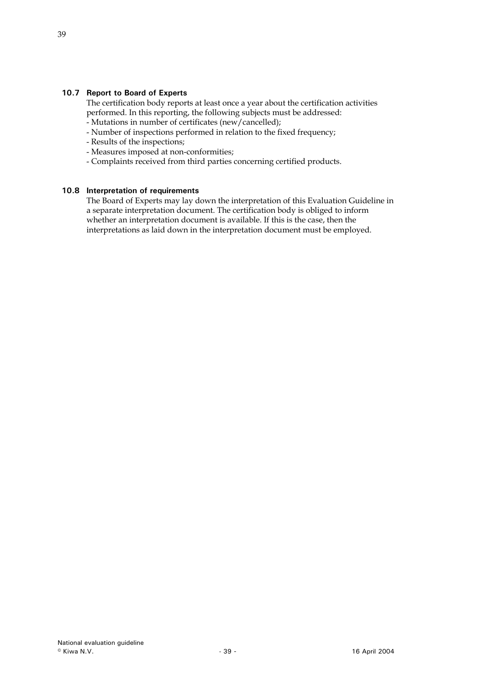# <span id="page-38-0"></span>**10.7 Report to Board of Experts**

The certification body reports at least once a year about the certification activities performed. In this reporting, the following subjects must be addressed:

- Mutations in number of certificates (new/cancelled);
- Number of inspections performed in relation to the fixed frequency;
- Results of the inspections;
- Measures imposed at non-conformities;
- Complaints received from third parties concerning certified products.

### **10.8 Interpretation of requirements**

The Board of Experts may lay down the interpretation of this Evaluation Guideline in a separate interpretation document. The certification body is obliged to inform whether an interpretation document is available. If this is the case, then the interpretations as laid down in the interpretation document must be employed.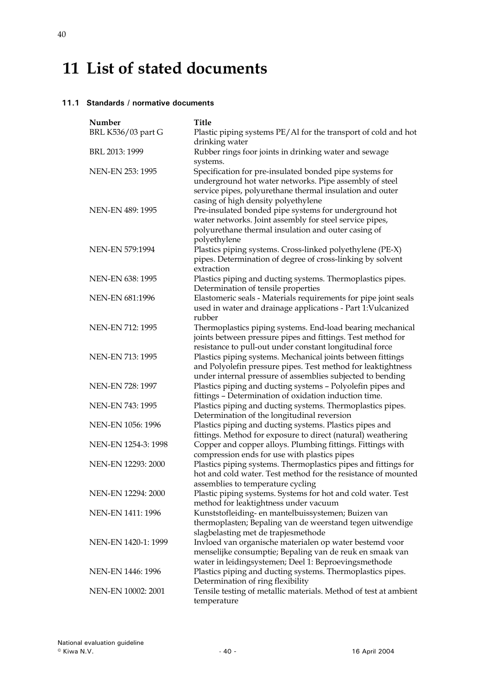# <span id="page-39-0"></span>**11 List of stated documents**

### **11.1 Standards / normative documents**

| Number                  | <b>Title</b>                                                                                                                                                                                                         |
|-------------------------|----------------------------------------------------------------------------------------------------------------------------------------------------------------------------------------------------------------------|
| BRL K536/03 part G      | Plastic piping systems PE/Al for the transport of cold and hot<br>drinking water                                                                                                                                     |
| BRL 2013: 1999          | Rubber rings foor joints in drinking water and sewage<br>systems.                                                                                                                                                    |
| <b>NEN-EN 253: 1995</b> | Specification for pre-insulated bonded pipe systems for<br>underground hot water networks. Pipe assembly of steel<br>service pipes, polyurethane thermal insulation and outer<br>casing of high density polyethylene |
| <b>NEN-EN 489: 1995</b> | Pre-insulated bonded pipe systems for underground hot<br>water networks. Joint assembly for steel service pipes,<br>polyurethane thermal insulation and outer casing of<br>polyethylene                              |
| NEN-EN 579:1994         | Plastics piping systems. Cross-linked polyethylene (PE-X)<br>pipes. Determination of degree of cross-linking by solvent<br>extraction                                                                                |
| <b>NEN-EN 638: 1995</b> | Plastics piping and ducting systems. Thermoplastics pipes.<br>Determination of tensile properties                                                                                                                    |
| NEN-EN 681:1996         | Elastomeric seals - Materials requirements for pipe joint seals<br>used in water and drainage applications - Part 1: Vulcanized<br>rubber                                                                            |
| NEN-EN 712: 1995        | Thermoplastics piping systems. End-load bearing mechanical<br>joints between pressure pipes and fittings. Test method for<br>resistance to pull-out under constant longitudinal force                                |
| NEN-EN 713: 1995        | Plastics piping systems. Mechanical joints between fittings<br>and Polyolefin pressure pipes. Test method for leaktightness<br>under internal pressure of assemblies subjected to bending                            |
| NEN-EN 728: 1997        | Plastics piping and ducting systems - Polyolefin pipes and<br>fittings - Determination of oxidation induction time.                                                                                                  |
| NEN-EN 743: 1995        | Plastics piping and ducting systems. Thermoplastics pipes.<br>Determination of the longitudinal reversion                                                                                                            |
| NEN-EN 1056: 1996       | Plastics piping and ducting systems. Plastics pipes and<br>fittings. Method for exposure to direct (natural) weathering                                                                                              |
| NEN-EN 1254-3: 1998     | Copper and copper alloys. Plumbing fittings. Fittings with<br>compression ends for use with plastics pipes                                                                                                           |
| NEN-EN 12293: 2000      | Plastics piping systems. Thermoplastics pipes and fittings for<br>hot and cold water. Test method for the resistance of mounted<br>assemblies to temperature cycling                                                 |
| NEN-EN 12294: 2000      | Plastic piping systems. Systems for hot and cold water. Test<br>method for leaktightness under vacuum                                                                                                                |
| NEN-EN 1411: 1996       | Kunststofleiding- en mantelbuissystemen; Buizen van<br>thermoplasten; Bepaling van de weerstand tegen uitwendige<br>slagbelasting met de trapjesmethode                                                              |
| NEN-EN 1420-1: 1999     | Invloed van organische materialen op water bestemd voor<br>menselijke consumptie; Bepaling van de reuk en smaak van<br>water in leidingsystemen; Deel 1: Beproevingsmethode                                          |
| NEN-EN 1446: 1996       | Plastics piping and ducting systems. Thermoplastics pipes.<br>Determination of ring flexibility                                                                                                                      |
| NEN-EN 10002: 2001      | Tensile testing of metallic materials. Method of test at ambient<br>temperature                                                                                                                                      |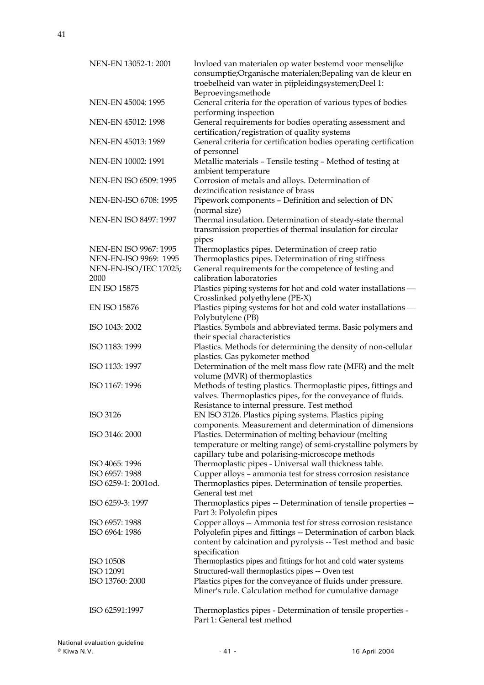NEN-EN 13052-1: 2001 Invloed van materialen op water bestemd voor menselijke consumptie;Organische materialen;Bepaling van de kleur en troebelheid van water in pijpleidingsystemen;Deel 1: Beproevingsmethode NEN-EN 45004: 1995 General criteria for the operation of various types of bodies performing inspection NEN-EN 45012: 1998 General requirements for bodies operating assessment and certification/registration of quality systems NEN-EN 45013: 1989 General criteria for certification bodies operating certification of personnel NEN-EN 10002: 1991 Metallic materials – Tensile testing – Method of testing at ambient temperature NEN-EN ISO 6509: 1995 Corrosion of metals and alloys. Determination of dezincification resistance of brass NEN-EN-ISO 6708: 1995 Pipework components – Definition and selection of DN (normal size) NEN-EN ISO 8497: 1997 Thermal insulation. Determination of steady-state thermal transmission properties of thermal insulation for circular pipes NEN-EN ISO 9967: 1995 Thermoplastics pipes. Determination of creep ratio NEN-EN-ISO 9969: 1995 Thermoplastics pipes. Determination of ring stiffness NEN-EN-ISO/IEC 17025; 2000 General requirements for the competence of testing and calibration laboratories EN ISO 15875 Plastics piping systems for hot and cold water installations — Crosslinked polyethylene (PE-X) EN ISO 15876 Plastics piping systems for hot and cold water installations — Polybutylene (PB) ISO 1043: 2002 Plastics. Symbols and abbreviated terms. Basic polymers and their special characteristics ISO 1183: 1999 Plastics. Methods for determining the density of non-cellular plastics. Gas pykometer method ISO 1133: 1997 Determination of the melt mass flow rate (MFR) and the melt volume (MVR) of thermoplastics ISO 1167: 1996 Methods of testing plastics. Thermoplastic pipes, fittings and valves. Thermoplastics pipes, for the conveyance of fluids. Resistance to internal pressure. Test method ISO 3126 EN ISO 3126. Plastics piping systems. Plastics piping components. Measurement and determination of dimensions ISO 3146: 2000 Plastics. Determination of melting behaviour (melting temperature or melting range) of semi-crystalline polymers by capillary tube and polarising-microscope methods ISO 4065: 1996 Thermoplastic pipes - Universal wall thickness table.<br>ISO 6957: 1988 Cupper alloys - ammonia test for stress corrosion res Cupper alloys – ammonia test for stress corrosion resistance ISO 6259-1: 2001od. Thermoplastics pipes. Determination of tensile properties. General test met ISO 6259-3: 1997 Thermoplastics pipes -- Determination of tensile properties -- Part 3: Polyolefin pipes ISO 6957: 1988 Copper alloys -- Ammonia test for stress corrosion resistance ISO 6964: 1986 Polyolefin pipes and fittings -- Determination of carbon black content by calcination and pyrolysis -- Test method and basic specification ISO 10508 Thermoplastics pipes and fittings for hot and cold water systems ISO 12091 Structured-wall thermoplastics pipes -- Oven test ISO 13760: 2000 Plastics pipes for the conveyance of fluids under pressure. Miner's rule. Calculation method for cumulative damage ISO 62591:1997 Thermoplastics pipes - Determination of tensile properties - Part 1: General test method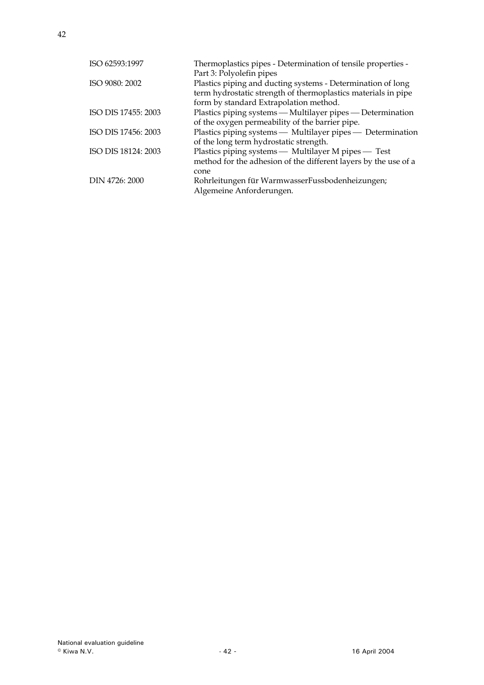| ISO 62593:1997      | Thermoplastics pipes - Determination of tensile properties -<br>Part 3: Polyolefin pipes                                                                               |
|---------------------|------------------------------------------------------------------------------------------------------------------------------------------------------------------------|
| ISO 9080: 2002      | Plastics piping and ducting systems - Determination of long<br>term hydrostatic strength of thermoplastics materials in pipe<br>form by standard Extrapolation method. |
| ISO DIS 17455: 2003 | Plastics piping systems - Multilayer pipes - Determination<br>of the oxygen permeability of the barrier pipe.                                                          |
| ISO DIS 17456: 2003 | Plastics piping systems — Multilayer pipes — Determination<br>of the long term hydrostatic strength.                                                                   |
| ISO DIS 18124: 2003 | Plastics piping systems — Multilayer M pipes — Test<br>method for the adhesion of the different layers by the use of a<br>cone                                         |
| DIN 4726: 2000      | Rohrleitungen für WarmwasserFussbodenheizungen;<br>Algemeine Anforderungen.                                                                                            |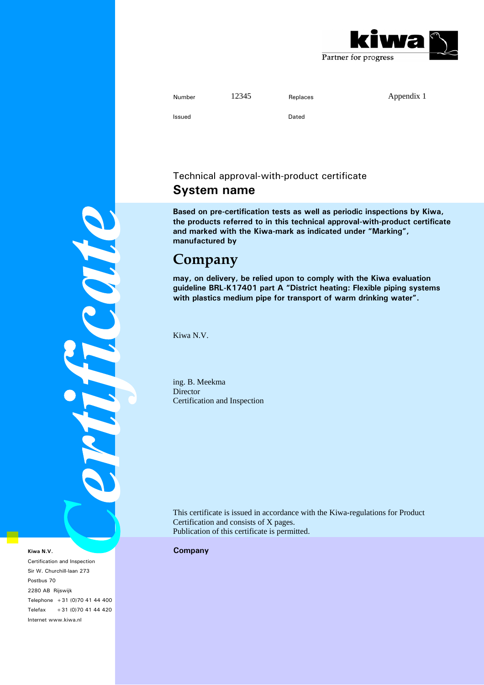

| Number | 12345 | Replaces | Appendix 1 |
|--------|-------|----------|------------|
| Issued |       | Dated    |            |

# Technical approval-with-product certificate

# **System name**

**Based on pre-certification tests as well as periodic inspections by Kiwa, the products referred to in this technical approval-with-product certificate and marked with the Kiwa-mark as indicated under "Marking", manufactured by** 

# **Company**

**may, on delivery, be relied upon to comply with the Kiwa evaluation guideline BRL-K17401 part A "District heating: Flexible piping systems with plastics medium pipe for transport of warm drinking water".** 

Kiwa N.V.

ing. B. Meekma **Director** Certification and Inspection

This certificate is issued in accordance with the Kiwa-regulations for Product Certification and consists of X pages. Publication of this certificate is permitted.

**Kiwa N.V.** Company

PHILICOM

Certification and Inspection Sir W. Churchill-laan 273 Postbus 70 2280 AB Rijswijk Telephone +31 (0)70 41 44 400 Telefax +31 (0)70 41 44 420 Internet www.kiwa.nl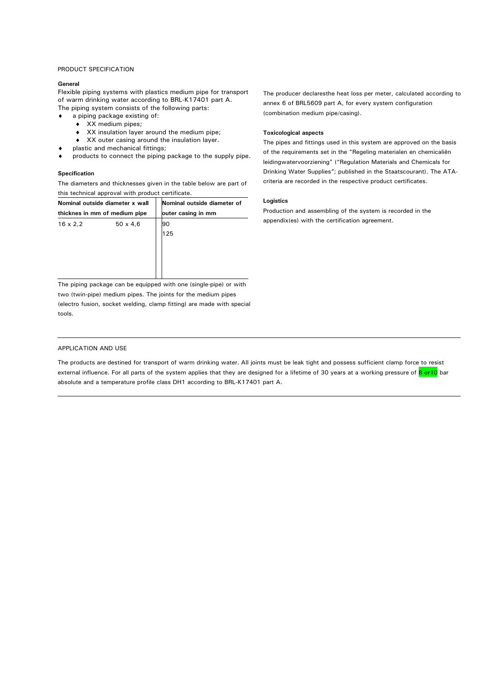#### PRODUCT SPECIFICATION

#### **General**

Flexible piping systems with plastics medium pipe for transport of warm drinking water according to BRL-K17401 part A. The piping system consists of the following parts:

- ♦ a piping package existing of:
	- ♦ XX medium pipes;
	- ♦ XX insulation layer around the medium pipe;
	- ♦ XX outer casing around the insulation layer.
- ♦ plastic and mechanical fittings;
- ♦ products to connect the piping package to the supply pipe.

#### **Specification**

The diameters and thicknesses given in the table below are part of this technical approval with product certificate.

| Nominal outside diameter x wall |                 |                    | Nominal outside diameter of |  |  |
|---------------------------------|-----------------|--------------------|-----------------------------|--|--|
| thicknes in mm of medium pipe   |                 | outer casing in mm |                             |  |  |
| $16 \times 2.2$                 | $50 \times 4,6$ |                    | 90                          |  |  |
|                                 |                 |                    | 125                         |  |  |
|                                 |                 |                    |                             |  |  |
|                                 |                 |                    |                             |  |  |
|                                 |                 |                    |                             |  |  |
|                                 |                 |                    |                             |  |  |

The piping package can be equipped with one (single-pipe) or with two (twin-pipe) medium pipes. The joints for the medium pipes (electro fusion, socket welding, clamp fitting) are made with special tools.

The producer declaresthe heat loss per meter, calculated according to annex 6 of BRL5609 part A, for every system configuration (combination medium pipe/casing).

#### **Toxicological aspects**

The pipes and fittings used in this system are approved on the basis of the requirements set in the "Regeling materialen en chemicaliën leidingwatervoorziening" ("Regulation Materials and Chemicals for Drinking Water Supplies"; published in the Staatscourant). The ATAcriteria are recorded in the respective product certificates.

#### **Logistics**

Production and assembling of the system is recorded in the appendix(es) with the certification agreement.

#### APPLICATION AND USE

The products are destined for transport of warm drinking water. All joints must be leak tight and possess sufficient clamp force to resist external influence. For all parts of the system applies that they are designed for a lifetime of 30 years at a working pressure of 8 or10 bar absolute and a temperature profile class DH1 according to BRL-K17401 part A.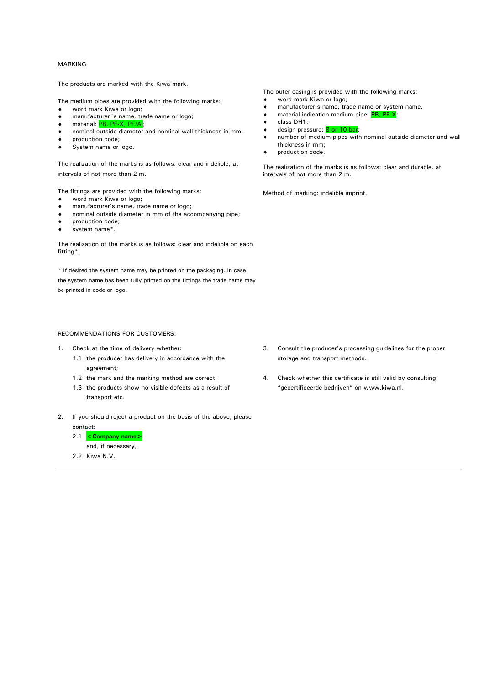#### MARKING

The products are marked with the Kiwa mark.

The medium pipes are provided with the following marks:

- ♦ ♦ word mark Kiwa or logo; manufacturer´s name, trade name or logo;
- ♦ material: PB, PE-X, PE/AI;
- ♦ nominal outside diameter and nominal wall thickness in mm;
- ♦ production code;
- ♦ System name or logo.

The realization of the marks is as follows: clear and indelible, at intervals of not more than 2 m.

The fittings are provided with the following marks:

- ♦ word mark Kiwa or logo;
- ♦ manufacturer's name, trade name or logo;
- ♦ nominal outside diameter in mm of the accompanying pipe;
- ♦ production code;
- ♦ system name\*.

The realization of the marks is as follows: clear and indelible on each fitting\*.

\* If desired the system name may be printed on the packaging. In case the system name has been fully printed on the fittings the trade name may be printed in code or logo.

#### RECOMMENDATIONS FOR CUSTOMERS:

- 1. Check at the time of delivery whether:
	- 1.1 the producer has delivery in accordance with the agreement;
	- 1.2 the mark and the marking method are correct;
	- 1.3 the products show no visible defects as a result of transport etc.
- 2. If you should reject a product on the basis of the above, please contact:
	- 2.1 <**Company name>**
		- and, if necessary,
	- 2.2 Kiwa N.V.

The outer casing is provided with the following marks:

- ♦ word mark Kiwa or logo;
- ♦ manufacturer's name, trade name or system name.
- ♦ material indication medium pipe: PB, PE-X;
- ♦ class DH1;
- ♦ design pressure: 8 or 10 bar;
- ♦ number of medium pipes with nominal outside diameter and wall thickness in mm;
- ♦ production code.

The realization of the marks is as follows: clear and durable, at intervals of not more than 2 m.

Method of marking: indelible imprint.

- 3. Consult the producer's processing guidelines for the proper storage and transport methods.
- 4. Check whether this certificate is still valid by consulting "gecertificeerde bedrijven" on www.kiwa.nl.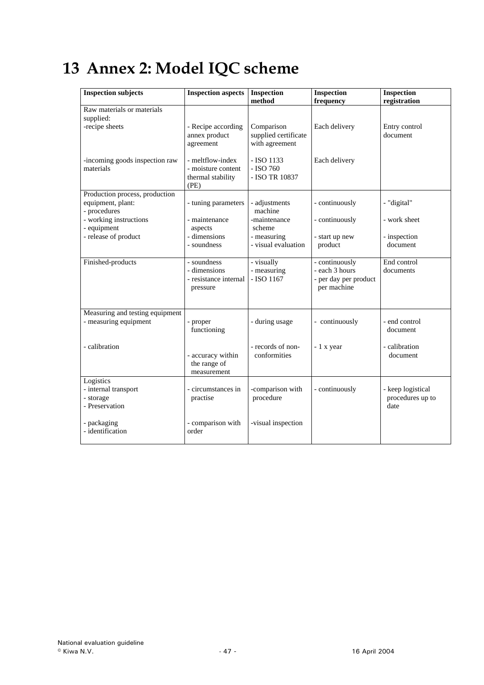# <span id="page-46-0"></span>**13 Annex 2: Model IQC scheme**

| <b>Inspection subjects</b>                                                                                                           | <b>Inspection aspects</b>                                                      | <b>Inspection</b><br>method                                                              | <b>Inspection</b><br>frequency                                           | <b>Inspection</b><br>registration                       |
|--------------------------------------------------------------------------------------------------------------------------------------|--------------------------------------------------------------------------------|------------------------------------------------------------------------------------------|--------------------------------------------------------------------------|---------------------------------------------------------|
| Raw materials or materials<br>supplied:<br>-recipe sheets                                                                            | - Recipe according<br>annex product<br>agreement                               | Comparison<br>supplied certificate<br>with agreement                                     | Each delivery                                                            | Entry control<br>document                               |
| -incoming goods inspection raw<br>materials                                                                                          | - meltflow-index<br>- moisture content<br>thermal stability<br>(PE)            | - ISO 1133<br>- ISO 760<br>- ISO TR 10837                                                | Each delivery                                                            |                                                         |
| Production process, production<br>equipment, plant:<br>- procedures<br>- working instructions<br>- equipment<br>- release of product | - tuning parameters<br>- maintenance<br>aspects<br>- dimensions<br>- soundness | - adjustments<br>machine<br>-maintenance<br>scheme<br>- measuring<br>- visual evaluation | - continuously<br>- continuously<br>- start up new<br>product            | - "digital"<br>- work sheet<br>- inspection<br>document |
| Finished-products                                                                                                                    | - soundness<br>- dimensions<br>- resistance internal<br>pressure               | - visually<br>- measuring<br>$-$ ISO 1167                                                | - continuously<br>- each 3 hours<br>- per day per product<br>per machine | End control<br>documents                                |
| Measuring and testing equipment<br>- measuring equipment                                                                             | - proper<br>functioning                                                        | - during usage                                                                           | - continuously                                                           | - end control<br>document                               |
| - calibration                                                                                                                        | - accuracy within<br>the range of<br>measurement                               | - records of non-<br>conformities                                                        | - 1 x year                                                               | - calibration<br>document                               |
| Logistics<br>- internal transport<br>- storage<br>- Preservation                                                                     | - circumstances in<br>practise                                                 | -comparison with<br>procedure                                                            | - continuously                                                           | - keep logistical<br>procedures up to<br>date           |
| - packaging<br>- identification                                                                                                      | - comparison with<br>order                                                     | -visual inspection                                                                       |                                                                          |                                                         |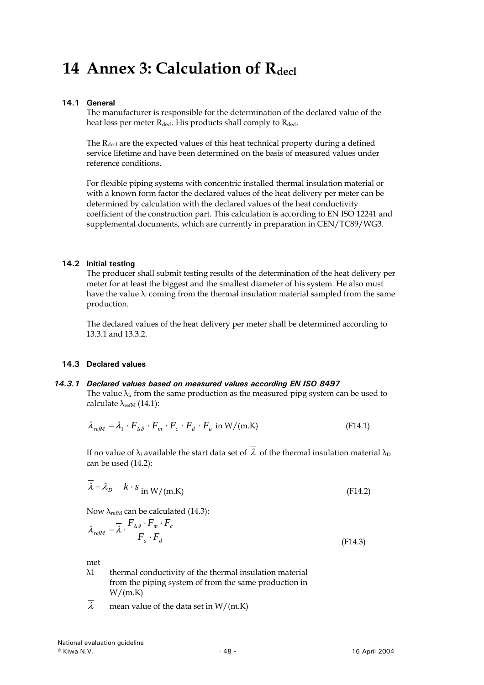# <span id="page-47-0"></span>**14 Annex 3: Calculation of Rdecl**

# **14.1 General**

The manufacturer is responsible for the determination of the declared value of the heat loss per meter  $R_{\text{decl}}$ . His products shall comply to  $R_{\text{decl}}$ .

The R<sub>decl</sub> are the expected values of this heat technical property during a defined service lifetime and have been determined on the basis of measured values under reference conditions.

For flexible piping systems with concentric installed thermal insulation material or with a known form factor the declared values of the heat delivery per meter can be determined by calculation with the declared values of the heat conductivity coefficient of the construction part. This calculation is according to EN ISO 12241 and supplemental documents, which are currently in preparation in CEN/TC89/WG3.

# **14.2 Initial testing**

The producer shall submit testing results of the determination of the heat delivery per meter for at least the biggest and the smallest diameter of his system. He also must have the value  $\lambda_1$  coming from the thermal insulation material sampled from the same production.

The declared values of the heat delivery per meter shall be determined according to 13.3.1 and 13.3.2.

# **14.3 Declared values**

# *14.3.1 Declared values based on measured values according EN ISO 8497*

The value  $\lambda_{\rm l}$ , from the same production as the measured pipg system can be used to calculate  $\lambda_{refM}$  (14.1):

$$
\lambda_{\text{refM}} = \lambda_1 \cdot F_{\Delta\vartheta} \cdot F_m \cdot F_c \cdot F_d \cdot F_a \text{ in W/(m.K)} \tag{F14.1}
$$

If no value of  $\lambda_1$  available the start data set of  $\overline{\lambda}$  of the thermal insulation material  $\lambda_D$ can be used (14.2):

$$
\overline{\lambda} = \lambda_D - k \cdot s_{\text{ in } W/(\text{m.K})}
$$
 (F14.2)

Now  $\lambda_{refM}$  can be calculated (14.3):

$$
\lambda_{\text{refM}} = \overline{\lambda} \cdot \frac{F_{\Delta\beta} \cdot F_m \cdot F_c}{F_a \cdot F_d}
$$
\n(F14.3)

met

- λ1 thermal conductivity of the thermal insulation material from the piping system of from the same production in  $W/(m.K)$
- $\overline{\lambda}$  mean value of the data set in W/(m.K)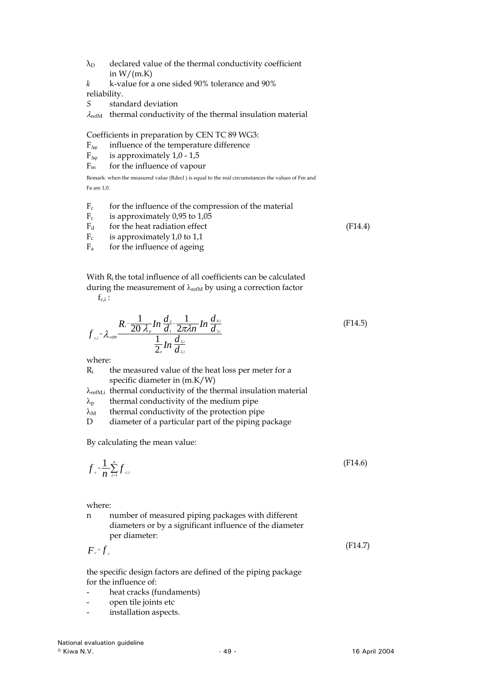- $\lambda_D$  declared value of the thermal conductivity coefficient in  $W/(m.K)$
- *k* k-value for a one sided 90% tolerance and 90% reliability.
- *S* standard deviation
- $\lambda_{\text{refM}}$  thermal conductivity of the thermal insulation material

Coefficients in preparation by CEN TC 89 WG3:

- $F_{\Delta\omega}$  influence of the temperature difference
- $F_{\Delta\omega}$  is approximately 1,0 1,5
- $F_m$  for the influence of vapour

Remark: when the measured value (Rdecl ) is equal to the real circumstances the values of Fm and Fa are 1,0.

- $F_c$  for the influence of the compression of the material
- $F_c$  is approximately 0,95 to 1,05
- $F_d$  for the heat radiation effect (F14.4)<br>  $F_c$  is approximately 1.0 to 1.1
- is approximately  $1,0$  to  $1,1$
- $F_a$  for the influence of ageing

With R<sub>i</sub> the total influence of all coefficients can be calculated during the measurement of  $\lambda_{refM}$  by using a correction factor

 $f_{c,i}$ :

$$
f_{c,i} = \lambda_{\text{refM}} \frac{R_i - \frac{1}{20 \lambda_p} \ln \frac{d_2}{d_1} - \frac{1}{2\pi \lambda n} \ln \frac{d_{4,i}}{d_{3,i}}}{\frac{1}{2_{\pi}} \ln \frac{d_{3,i}}{d_{2,i}}}
$$
(F14.5)

where:

 $R_i$  the measured value of the heat loss per meter for a specific diameter in (m.K/W)

- $\lambda_{refM,i}$  thermal conductivity of the thermal insulation material
- $\lambda_p$  thermal conductivity of the medium pipe
- $\lambda_M$  thermal conductivity of the protection pipe

D diameter of a particular part of the piping package

By calculating the mean value:

$$
f_{c} = \frac{1}{n} \sum_{j=1}^{n} f_{c,i}
$$
 (F14.6)

where:

n number of measured piping packages with different diameters or by a significant influence of the diameter per diameter:

 $F_{c}$   $=$   $f_{c}$  $= f$  (F14.7)

the specific design factors are defined of the piping package for the influence of:

- heat cracks (fundaments)
- open tile joints etc
- installation aspects.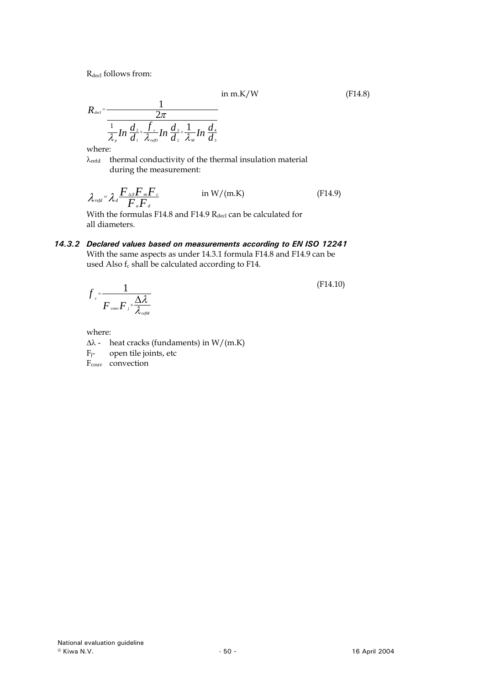R<sub>decl</sub> follows from:

$$
in m.K/W \t\t (F14.8)
$$

$$
R_{\text{det}} = \frac{1}{\frac{2\pi}{\lambda_{p}}\ln\frac{d_{2} + f_{c}}{d_{1} + \lambda_{\text{refD}}\ln\frac{d_{3} + 1}{d_{2} + \lambda_{\text{M}}\ln\frac{d_{4}}{d_{3}}}}
$$

where:

 $\lambda_{\text{refd}}$  thermal conductivity of the thermal insulation material during the measurement:

$$
\lambda_{\text{refd}} = \lambda_d \frac{F_{\text{A}\beta} F_m F_c}{F_a F_d} \qquad \text{in } W/(\text{m.K})
$$
 (F14.9)

With the formulas F14.8 and F14.9  $R_{\text{decl}}$  can be calculated for all diameters.

# *14.3.2 1 Declared values based on measurements according to EN ISO 1224* With the same aspects as under 14.3.1 formula F14.8 and F14.9 can be used Also  $f_c$  shall be calculated according to F14.

$$
f_{c} = \frac{1}{F_{cow}F_{j} + \frac{\Delta\lambda}{\lambda_{refM}}}
$$
(F14.10)

where:

- $\Delta\lambda$  heat cracks (fundaments) in W/(m.K)
- $F_j$  open tile joints, etc
- F<sub>couv</sub> convection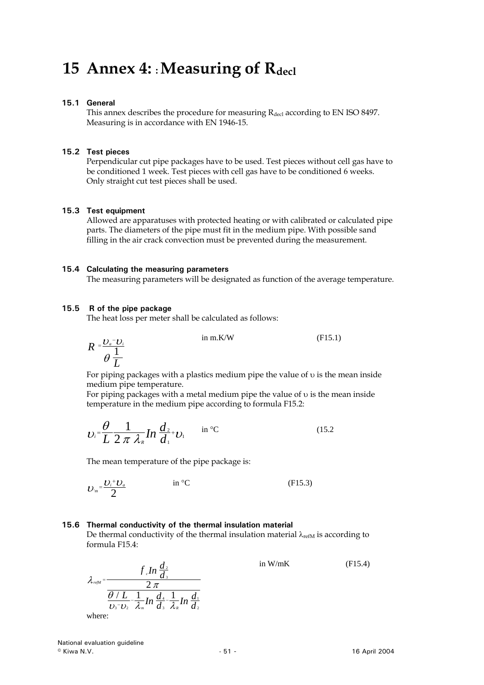# <span id="page-50-0"></span>15 Annex 4: : Measuring of R<sub>decl</sub>

### **15.1 General**

This annex describes the procedure for measuring R<sub>decl</sub> according to EN ISO 8497. Measuring is in accordance with EN 1946-15.

### **15.2 Test pieces**

Perpendicular cut pipe packages have to be used. Test pieces without cell gas have to be conditioned 1 week. Test pieces with cell gas have to be conditioned 6 weeks. Only straight cut test pieces shall be used.

### **15.3 Test equipment**

Allowed are apparatuses with protected heating or with calibrated or calculated pipe parts. The diameters of the pipe must fit in the medium pipe. With possible sand filling in the air crack convection must be prevented during the measurement.

#### **15.4 Calculating the measuring parameters**

The measuring parameters will be designated as function of the average temperature.

### **15.5 R of the pipe package**

The heat loss per meter shall be calculated as follows:

$$
R = \frac{U_a - U_i}{\theta \frac{1}{L}}
$$
 in m.K/W (F15.1)

For piping packages with a plastics medium pipe the value of υ is the mean inside medium pipe temperature.

For piping packages with a metal medium pipe the value of υ is the mean inside temperature in the medium pipe according to formula F15.2:

$$
U_i = \frac{\theta}{L} \frac{1}{2 \pi \lambda_{\scriptscriptstyle R}} \ln \frac{d_{\scriptscriptstyle 2}}{d_{\scriptscriptstyle 1}} + U_1 \quad \text{in }^{\circ}\text{C}
$$
 (15.2)

The mean temperature of the pipe package is:

$$
U_m = \frac{U_i^+ U_a}{2} \qquad \qquad \text{in }^{\circ}C \tag{F15.3}
$$

# **15.6 Thermal conductivity of the thermal insulation material**

De thermal conductivity of the thermal insulation material  $\lambda_{\text{refM}}$  is according to formula F15.4:

$$
\lambda_{\text{refM}} = \frac{f_{\text{e}} \ln \frac{d_2}{d_3}}{2 \pi}
$$
 in W/mK (F15.4)  
\n
$$
\frac{\theta / L}{\theta_{\text{e}} - \frac{1}{2 \pi} \ln \frac{d_4}{d_3} - \frac{1}{2 \pi} \ln \frac{d_1}{d_2}}
$$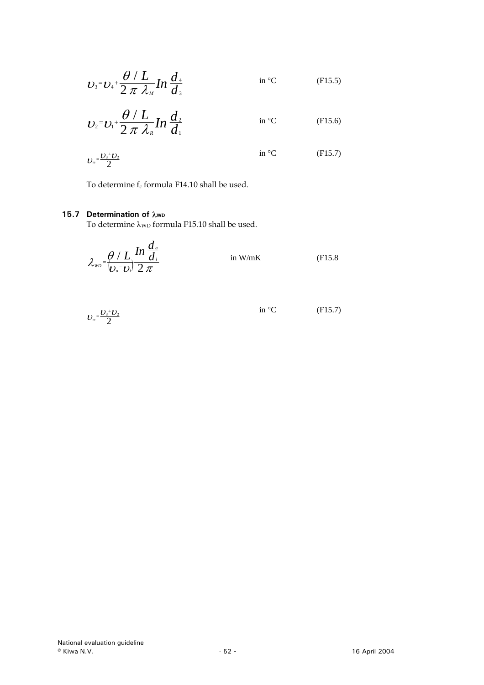<span id="page-51-0"></span>
$$
U_3 = U_4 + \frac{\theta / L}{2 \pi \lambda_M} \ln \frac{d_4}{d_3}
$$
 in °C (F15.5)

$$
U_2 = U_1 + \frac{\theta / L}{2 \pi \lambda_{\kappa}} In \frac{d_2}{d_1}
$$
 in °C (F15.6)

$$
v_{\scriptscriptstyle m} = \frac{v_{\scriptscriptstyle 3} + v_{\scriptscriptstyle 2}}{2} \qquad \qquad \text{in }^{\circ}\text{C} \qquad \qquad \text{(F15.7)}
$$

To determine  $f_c$  formula F14.10 shall be used.

# **15.7 Determination of λwp**

To determine  $\lambda_{WD}$  formula F15.10 shall be used.

$$
\lambda_{\scriptscriptstyle WD} = \frac{\theta / L}{\left(\frac{L}{\theta_a} - \frac{U}{\theta_b}\right)} \frac{d_a}{2 \pi} \qquad \text{in W/mK} \qquad (F15.8)
$$

$$
U_m = \frac{U_3 + U_2}{2} \qquad \qquad \text{in }^{\circ}C \qquad \qquad \text{(F15.7)}
$$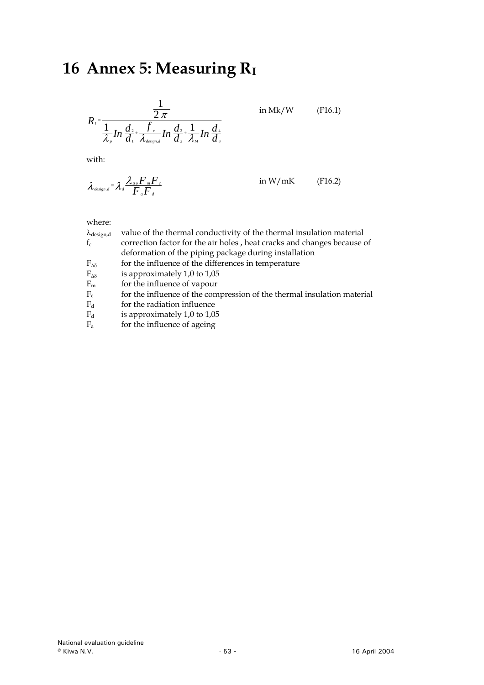# <span id="page-52-0"></span>**16 Annex 5: Measuring RI**

$$
R_{I} = \frac{\frac{1}{2 \pi}}{\frac{1}{\lambda_{P}} In \frac{d_{2}}{d_{1}} + \frac{f_{c}}{\lambda_{\text{design},d}} In \frac{d_{3}}{d_{2}} + \frac{1}{\lambda_{M}} In \frac{d_{4}}{d_{3}}}
$$

in Mk/W (F16.1)

with:

$$
\lambda_{\text{design},d} = \lambda_d \frac{\lambda_{\text{av}} F_m F_c}{F_a F_d} \qquad \text{in } W/\text{mK} \qquad \text{(F16.2)}
$$

# where:

| $\lambda_{\text{design,d}}$ | value of the thermal conductivity of the thermal insulation material    |
|-----------------------------|-------------------------------------------------------------------------|
| $f_c$                       | correction factor for the air holes, heat cracks and changes because of |
|                             | deformation of the piping package during installation                   |
| $F_{\Delta\delta}$          | for the influence of the differences in temperature                     |
| $F_{\Delta\delta}$          | is approximately 1,0 to 1,05                                            |
| $F_m$                       | for the influence of vapour                                             |
| $F_c$                       | for the influence of the compression of the thermal insulation material |
| $F_d$                       | for the radiation influence                                             |
| $\mathbf{E}$                | $\frac{1}{2}$ expressive states 1.0 to 1.0 $\Gamma$                     |

Fd is approximately 1,0 to 1,05

 $F_a$  for the influence of ageing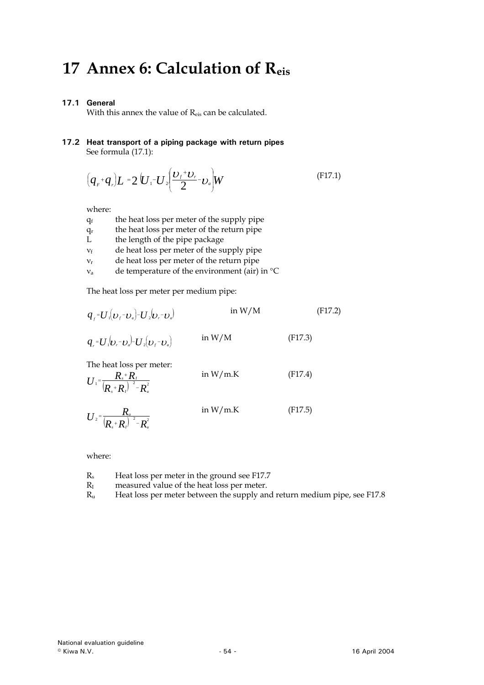# <span id="page-53-0"></span>**17 Annex 6: Calculation of Reis**

# **17.1 General**

With this annex the value of Reis can be calculated.

#### **17.2 Heat transport of a piping package with return pipes**  See formula (17.1):

$$
\left(\boldsymbol{q}_{r}+\boldsymbol{q}_{r}\right)\boldsymbol{L}=\boldsymbol{2}\left(\boldsymbol{U}_{1}-\boldsymbol{U}_{2}\left(\frac{\boldsymbol{U}_{f}+\boldsymbol{U}_{r}}{2}-\boldsymbol{U}_{a}\right)\boldsymbol{W}\right)
$$
\n(F17.1)

where:

| $q_f$ | the heat loss per meter of the supply pipe    |
|-------|-----------------------------------------------|
| $q_r$ | the heat loss per meter of the return pipe    |
| Ι.    | the length of the pipe package                |
| $V_f$ | de heat loss per meter of the supply pipe     |
| $V_r$ | de heat loss per meter of the return pipe     |
| $V_a$ | de temperature of the environment (air) in °C |
|       |                                               |

The heat loss per meter per medium pipe:

$$
q_{j} = U_{1} \left( U_{j} - U_{a} \right) - U_{2} \left( U_{i} - U_{a} \right) \qquad \text{in } W/M \tag{F17.2}
$$

$$
q_{r} = U_{1} \left( \mathbf{U}_{r} - \mathbf{U}_{a} \right) - U_{2} \left( \mathbf{U}_{f} - \mathbf{U}_{a} \right) \qquad \text{in } \mathbb{W}/\mathbb{M} \tag{F17.3}
$$

The heat loss per meter:

$$
U_{1} = \frac{R_{s} + R_{I}}{(R_{s} + R_{I})^{2} - R_{u}^{2}} \qquad \text{in W/m.K} \qquad (F17.4)
$$

$$
U_{2} = \frac{R_{u}}{(R_{s} + R_{t})^{2} - R_{u}^{2}} \qquad \text{in W/m.K} \qquad (F17.5)
$$

where:

- $R_s$  Heat loss per meter in the ground see F17.7<br> $R_I$  measured value of the heat loss per meter.
- $R<sub>I</sub>$  measured value of the heat loss per meter.<br> $R<sub>II</sub>$  Heat loss per meter between the supply an
- Heat loss per meter between the supply and return medium pipe, see F17.8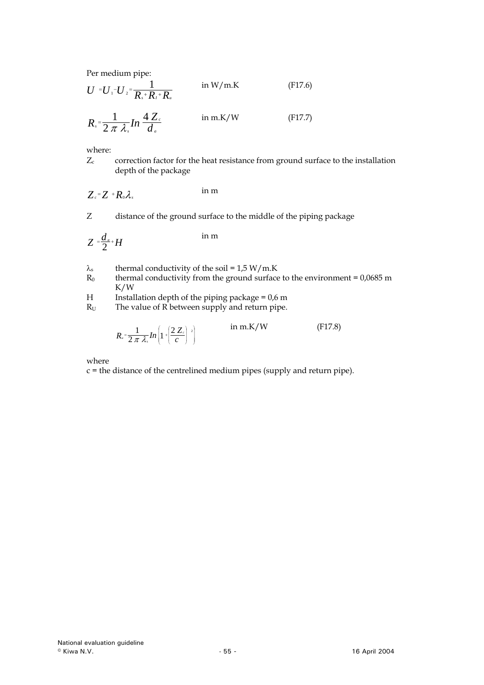Per medium pipe:

$$
U = U_1 - U_2 = \frac{1}{R_s + R_t + R_u}
$$
 in W/m.K (F17.6)

$$
R_s = \frac{1}{2 \pi \lambda_s} \ln \frac{4 Z_c}{d_a} \qquad \text{in m.K/W} \tag{F17.7}
$$

where:

Zc correction factor for the heat resistance from ground surface to the installation depth of the package

$$
Z_c = Z + R_0 \lambda_s \qquad \text{in m}
$$

Z distance of the ground surface to the middle of the piping package

$$
Z = \frac{d_a}{2} + H
$$
 in m

- $\lambda_s$  thermal conductivity of the soil = 1,5 W/m.K<br>R<sub>0</sub> thermal conductivity from the ground surface
- thermal conductivity from the ground surface to the environment =  $0.0685$  m K/W
- H Installation depth of the piping package =  $0.6$  m<br>R<sub>U</sub> The value of R between supply and return pipe.
- The value of  $\overrightarrow{R}$  between supply and return pipe.

$$
R_{u} = \frac{1}{2 \pi \lambda_{s}} ln \left( 1 + \left( \frac{2 Z_{c}}{c} \right)^{2} \right) \qquad \text{in m.K/W} \qquad (F17.8)
$$

where

 $c =$  the distance of the centrelined medium pipes (supply and return pipe).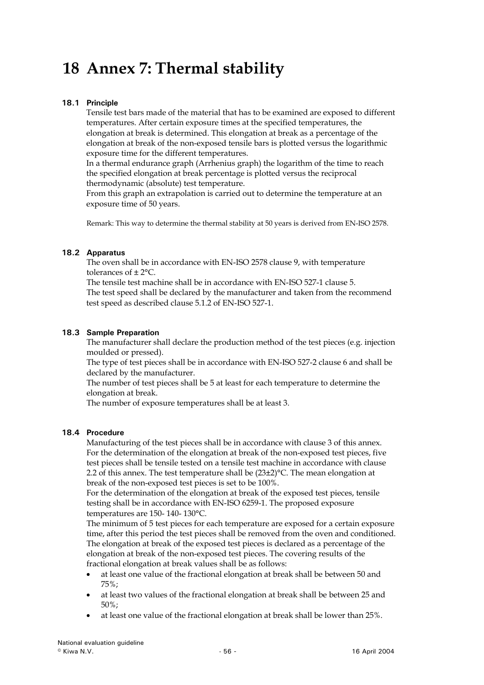# <span id="page-55-0"></span>**18 Annex 7: Thermal stability**

# **18.1 Principle**

Tensile test bars made of the material that has to be examined are exposed to different temperatures. After certain exposure times at the specified temperatures, the elongation at break is determined. This elongation at break as a percentage of the elongation at break of the non-exposed tensile bars is plotted versus the logarithmic exposure time for the different temperatures.

In a thermal endurance graph (Arrhenius graph) the logarithm of the time to reach the specified elongation at break percentage is plotted versus the reciprocal thermodynamic (absolute) test temperature.

From this graph an extrapolation is carried out to determine the temperature at an exposure time of 50 years.

Remark: This way to determine the thermal stability at 50 years is derived from EN-ISO 2578.

# **18.2 Apparatus**

The oven shall be in accordance with EN-ISO 2578 clause 9, with temperature tolerances of ± 2°C.

The tensile test machine shall be in accordance with EN-ISO 527-1 clause 5. The test speed shall be declared by the manufacturer and taken from the recommend test speed as described clause 5.1.2 of EN-ISO 527-1.

# **18.3 Sample Preparation**

The manufacturer shall declare the production method of the test pieces (e.g. injection moulded or pressed).

The type of test pieces shall be in accordance with EN-ISO 527-2 clause 6 and shall be declared by the manufacturer.

The number of test pieces shall be 5 at least for each temperature to determine the elongation at break.

The number of exposure temperatures shall be at least 3.

# **18.4 Procedure**

Manufacturing of the test pieces shall be in accordance with clause 3 of this annex. For the determination of the elongation at break of the non-exposed test pieces, five test pieces shall be tensile tested on a tensile test machine in accordance with clause 2.2 of this annex. The test temperature shall be  $(23\pm2)$  °C. The mean elongation at break of the non-exposed test pieces is set to be 100%.

For the determination of the elongation at break of the exposed test pieces, tensile testing shall be in accordance with EN-ISO 6259-1. The proposed exposure temperatures are 150- 140- 130°C.

The minimum of 5 test pieces for each temperature are exposed for a certain exposure time, after this period the test pieces shall be removed from the oven and conditioned. The elongation at break of the exposed test pieces is declared as a percentage of the elongation at break of the non-exposed test pieces. The covering results of the fractional elongation at break values shall be as follows:

- at least one value of the fractional elongation at break shall be between 50 and 75%;
- at least two values of the fractional elongation at break shall be between 25 and 50%;
- at least one value of the fractional elongation at break shall be lower than 25%.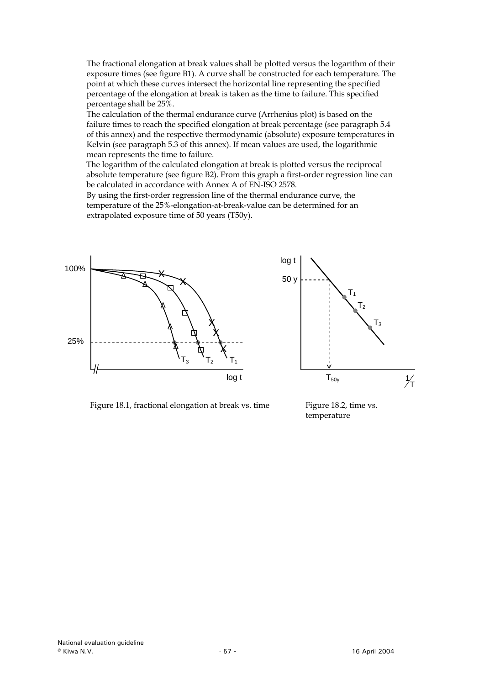The fractional elongation at break values shall be plotted versus the logarithm of their exposure times (see figure B1). A curve shall be constructed for each temperature. The point at which these curves intersect the horizontal line representing the specified percentage of the elongation at break is taken as the time to failure. This specified percentage shall be 25%.

The calculation of the thermal endurance curve (Arrhenius plot) is based on the failure times to reach the specified elongation at break percentage (see paragraph 5.4 of this annex) and the respective thermodynamic (absolute) exposure temperatures in Kelvin (see paragraph 5.3 of this annex). If mean values are used, the logarithmic mean represents the time to failure.

The logarithm of the calculated elongation at break is plotted versus the reciprocal absolute temperature (see figure B2). From this graph a first-order regression line can be calculated in accordance with Annex A of EN-ISO 2578.

By using the first-order regression line of the thermal endurance curve, the temperature of the 25%-elongation-at-break-value can be determined for an extrapolated exposure time of 50 years (T50y).





Figure 18.1, fractional elongation at break vs. time Figure 18.2, time vs.

temperature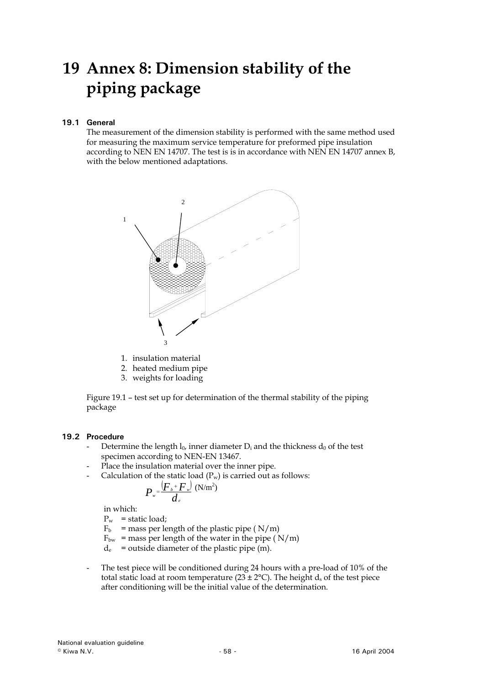# <span id="page-57-0"></span>**19 Annex 8: Dimension stability of the piping package**

# **19.1 General**

The measurement of the dimension stability is performed with the same method used for measuring the maximum service temperature for preformed pipe insulation according to NEN EN 14707. The test is is in accordance with NEN EN 14707 annex B, with the below mentioned adaptations.



- 1. insulation material
- 2. heated medium pipe
- 3. weights for loading

Figure 19.1 – test set up for determination of the thermal stability of the piping package

#### **19.2 Procedure**

- Determine the length  $l_0$ , inner diameter  $D_i$  and the thickness  $d_0$  of the test specimen according to NEN-EN 13467.
- Place the insulation material over the inner pipe.
- Calculation of the static load  $(P_w)$  is carried out as follows:

$$
P_{\scriptscriptstyle w} \!\!=\!\! \frac{\left(\!F_{\scriptscriptstyle b} \!+\! F_{\scriptscriptstyle w} \!\right)}{d_{\scriptscriptstyle e}}~\! (\mathrm{N} / \mathrm{m}^2)
$$

in which:

 $P_w$  = static load;

- $F_b$  = mass per length of the plastic pipe ( $N/m$ )
- $F_{bw}$  = mass per length of the water in the pipe ( $N/m$ )
- $d_e$  = outside diameter of the plastic pipe (m).
- The test piece will be conditioned during 24 hours with a pre-load of 10% of the total static load at room temperature ( $23 \pm 2$ °C). The height d<sub>s</sub> of the test piece after conditioning will be the initial value of the determination.